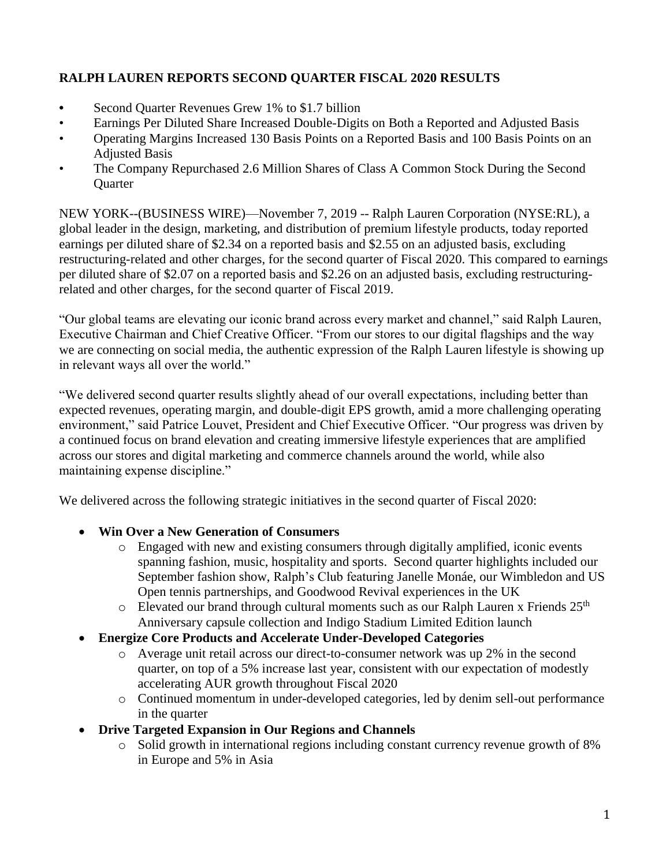# **RALPH LAUREN REPORTS SECOND QUARTER FISCAL 2020 RESULTS**

- **•** Second Quarter Revenues Grew 1% to \$1.7 billion
- Earnings Per Diluted Share Increased Double-Digits on Both a Reported and Adjusted Basis
- Operating Margins Increased 130 Basis Points on a Reported Basis and 100 Basis Points on an Adjusted Basis
- The Company Repurchased 2.6 Million Shares of Class A Common Stock During the Second **Quarter**

NEW YORK--(BUSINESS WIRE)—November 7, 2019 -- Ralph Lauren Corporation (NYSE:RL), a global leader in the design, marketing, and distribution of premium lifestyle products, today reported earnings per diluted share of \$2.34 on a reported basis and \$2.55 on an adjusted basis, excluding restructuring-related and other charges, for the second quarter of Fiscal 2020. This compared to earnings per diluted share of \$2.07 on a reported basis and \$2.26 on an adjusted basis, excluding restructuringrelated and other charges, for the second quarter of Fiscal 2019.

"Our global teams are elevating our iconic brand across every market and channel," said Ralph Lauren, Executive Chairman and Chief Creative Officer. "From our stores to our digital flagships and the way we are connecting on social media, the authentic expression of the Ralph Lauren lifestyle is showing up in relevant ways all over the world."

"We delivered second quarter results slightly ahead of our overall expectations, including better than expected revenues, operating margin, and double-digit EPS growth, amid a more challenging operating environment," said Patrice Louvet, President and Chief Executive Officer. "Our progress was driven by a continued focus on brand elevation and creating immersive lifestyle experiences that are amplified across our stores and digital marketing and commerce channels around the world, while also maintaining expense discipline."

We delivered across the following strategic initiatives in the second quarter of Fiscal 2020:

# • **Win Over a New Generation of Consumers**

- o Engaged with new and existing consumers through digitally amplified, iconic events spanning fashion, music, hospitality and sports. Second quarter highlights included our September fashion show, Ralph's Club featuring Janelle Monáe, our Wimbledon and US Open tennis partnerships, and Goodwood Revival experiences in the UK
- o Elevated our brand through cultural moments such as our Ralph Lauren x Friends 25<sup>th</sup> Anniversary capsule collection and Indigo Stadium Limited Edition launch
- **Energize Core Products and Accelerate Under-Developed Categories**
	- o Average unit retail across our direct-to-consumer network was up 2% in the second quarter, on top of a 5% increase last year, consistent with our expectation of modestly accelerating AUR growth throughout Fiscal 2020
	- o Continued momentum in under-developed categories, led by denim sell-out performance in the quarter
- **Drive Targeted Expansion in Our Regions and Channels**
	- o Solid growth in international regions including constant currency revenue growth of 8% in Europe and 5% in Asia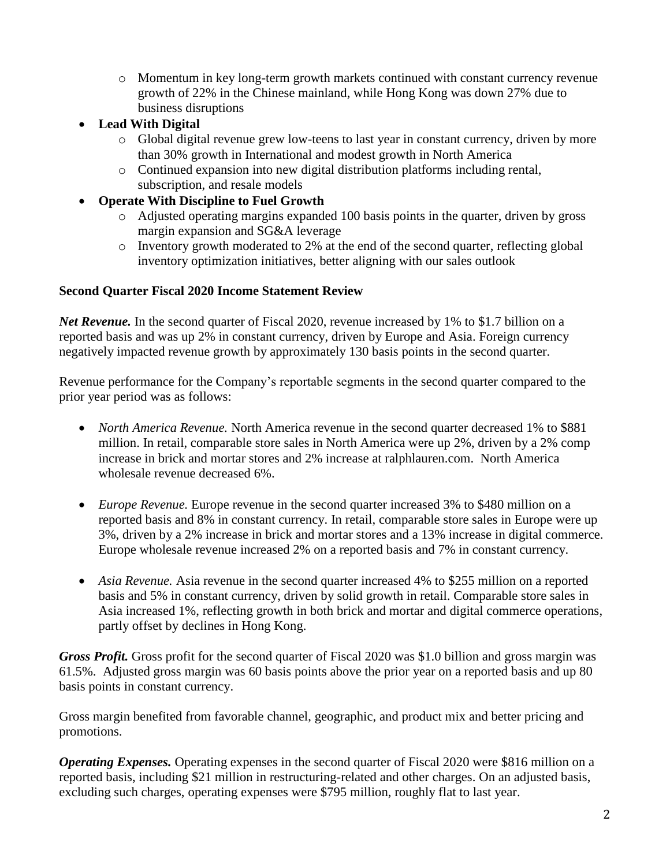- o Momentum in key long-term growth markets continued with constant currency revenue growth of 22% in the Chinese mainland, while Hong Kong was down 27% due to business disruptions
- **Lead With Digital**
	- o Global digital revenue grew low-teens to last year in constant currency, driven by more than 30% growth in International and modest growth in North America
	- o Continued expansion into new digital distribution platforms including rental, subscription, and resale models
- **Operate With Discipline to Fuel Growth**
	- o Adjusted operating margins expanded 100 basis points in the quarter, driven by gross margin expansion and SG&A leverage
	- o Inventory growth moderated to 2% at the end of the second quarter, reflecting global inventory optimization initiatives, better aligning with our sales outlook

# **Second Quarter Fiscal 2020 Income Statement Review**

*Net Revenue.* In the second quarter of Fiscal 2020, revenue increased by 1% to \$1.7 billion on a reported basis and was up 2% in constant currency, driven by Europe and Asia. Foreign currency negatively impacted revenue growth by approximately 130 basis points in the second quarter.

Revenue performance for the Company's reportable segments in the second quarter compared to the prior year period was as follows:

- *North America Revenue.* North America revenue in the second quarter decreased 1% to \$881 million. In retail, comparable store sales in North America were up 2%, driven by a 2% comp increase in brick and mortar stores and 2% increase at ralphlauren.com. North America wholesale revenue decreased 6%.
- *Europe Revenue.* Europe revenue in the second quarter increased 3% to \$480 million on a reported basis and 8% in constant currency. In retail, comparable store sales in Europe were up 3%, driven by a 2% increase in brick and mortar stores and a 13% increase in digital commerce. Europe wholesale revenue increased 2% on a reported basis and 7% in constant currency.
- *Asia Revenue.* Asia revenue in the second quarter increased 4% to \$255 million on a reported basis and 5% in constant currency, driven by solid growth in retail. Comparable store sales in Asia increased 1%, reflecting growth in both brick and mortar and digital commerce operations, partly offset by declines in Hong Kong.

*Gross Profit.* Gross profit for the second quarter of Fiscal 2020 was \$1.0 billion and gross margin was 61.5%. Adjusted gross margin was 60 basis points above the prior year on a reported basis and up 80 basis points in constant currency.

Gross margin benefited from favorable channel, geographic, and product mix and better pricing and promotions.

*Operating Expenses.* Operating expenses in the second quarter of Fiscal 2020 were \$816 million on a reported basis, including \$21 million in restructuring-related and other charges. On an adjusted basis, excluding such charges, operating expenses were \$795 million, roughly flat to last year.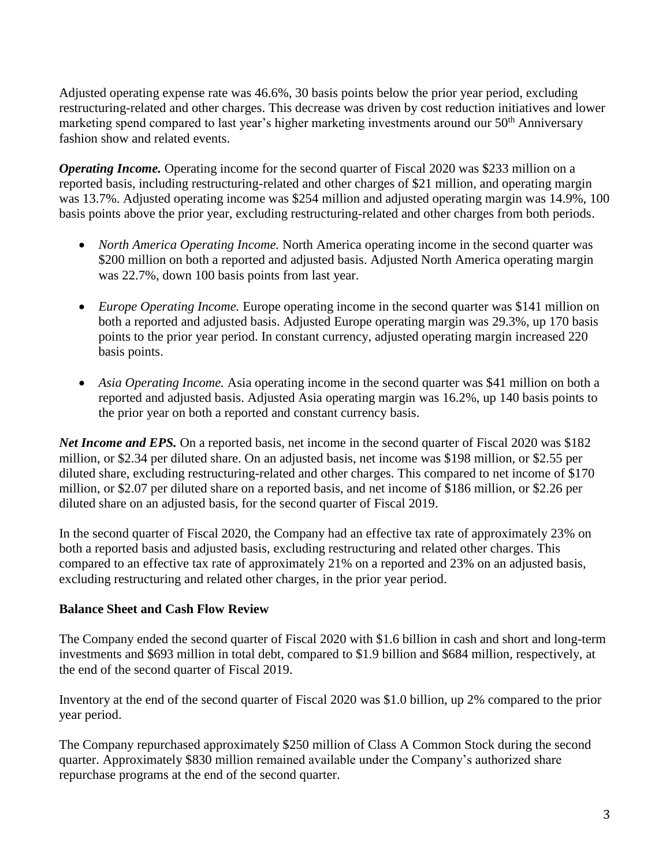Adjusted operating expense rate was 46.6%, 30 basis points below the prior year period, excluding restructuring-related and other charges. This decrease was driven by cost reduction initiatives and lower marketing spend compared to last year's higher marketing investments around our 50<sup>th</sup> Anniversary fashion show and related events.

*Operating Income.* Operating income for the second quarter of Fiscal 2020 was \$233 million on a reported basis, including restructuring-related and other charges of \$21 million, and operating margin was 13.7%. Adjusted operating income was \$254 million and adjusted operating margin was 14.9%, 100 basis points above the prior year, excluding restructuring-related and other charges from both periods.

- *North America Operating Income.* North America operating income in the second quarter was \$200 million on both a reported and adjusted basis. Adjusted North America operating margin was 22.7%, down 100 basis points from last year.
- *Europe Operating Income.* Europe operating income in the second quarter was \$141 million on both a reported and adjusted basis. Adjusted Europe operating margin was 29.3%, up 170 basis points to the prior year period. In constant currency, adjusted operating margin increased 220 basis points.
- *Asia Operating Income.* Asia operating income in the second quarter was \$41 million on both a reported and adjusted basis. Adjusted Asia operating margin was 16.2%, up 140 basis points to the prior year on both a reported and constant currency basis.

*Net Income and EPS.* On a reported basis, net income in the second quarter of Fiscal 2020 was \$182 million, or \$2.34 per diluted share. On an adjusted basis, net income was \$198 million, or \$2.55 per diluted share, excluding restructuring-related and other charges. This compared to net income of \$170 million, or \$2.07 per diluted share on a reported basis, and net income of \$186 million, or \$2.26 per diluted share on an adjusted basis, for the second quarter of Fiscal 2019.

In the second quarter of Fiscal 2020, the Company had an effective tax rate of approximately 23% on both a reported basis and adjusted basis, excluding restructuring and related other charges. This compared to an effective tax rate of approximately 21% on a reported and 23% on an adjusted basis, excluding restructuring and related other charges, in the prior year period.

# **Balance Sheet and Cash Flow Review**

The Company ended the second quarter of Fiscal 2020 with \$1.6 billion in cash and short and long-term investments and \$693 million in total debt, compared to \$1.9 billion and \$684 million, respectively, at the end of the second quarter of Fiscal 2019.

Inventory at the end of the second quarter of Fiscal 2020 was \$1.0 billion, up 2% compared to the prior year period.

The Company repurchased approximately \$250 million of Class A Common Stock during the second quarter. Approximately \$830 million remained available under the Company's authorized share repurchase programs at the end of the second quarter.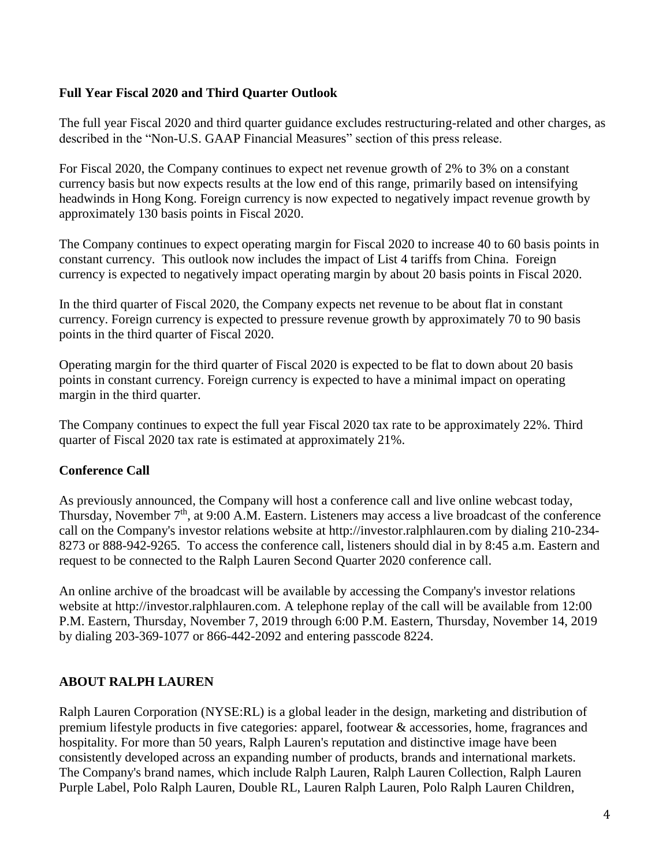# **Full Year Fiscal 2020 and Third Quarter Outlook**

The full year Fiscal 2020 and third quarter guidance excludes restructuring-related and other charges, as described in the "Non-U.S. GAAP Financial Measures" section of this press release.

For Fiscal 2020, the Company continues to expect net revenue growth of 2% to 3% on a constant currency basis but now expects results at the low end of this range, primarily based on intensifying headwinds in Hong Kong. Foreign currency is now expected to negatively impact revenue growth by approximately 130 basis points in Fiscal 2020.

The Company continues to expect operating margin for Fiscal 2020 to increase 40 to 60 basis points in constant currency. This outlook now includes the impact of List 4 tariffs from China. Foreign currency is expected to negatively impact operating margin by about 20 basis points in Fiscal 2020.

In the third quarter of Fiscal 2020, the Company expects net revenue to be about flat in constant currency. Foreign currency is expected to pressure revenue growth by approximately 70 to 90 basis points in the third quarter of Fiscal 2020.

Operating margin for the third quarter of Fiscal 2020 is expected to be flat to down about 20 basis points in constant currency. Foreign currency is expected to have a minimal impact on operating margin in the third quarter.

The Company continues to expect the full year Fiscal 2020 tax rate to be approximately 22%. Third quarter of Fiscal 2020 tax rate is estimated at approximately 21%.

# **Conference Call**

As previously announced, the Company will host a conference call and live online webcast today, Thursday, November 7<sup>th</sup>, at 9:00 A.M. Eastern. Listeners may access a live broadcast of the conference call on the Company's investor relations website at http://investor.ralphlauren.com by dialing 210-234- 8273 or 888-942-9265. To access the conference call, listeners should dial in by 8:45 a.m. Eastern and request to be connected to the Ralph Lauren Second Quarter 2020 conference call.

An online archive of the broadcast will be available by accessing the Company's investor relations website at http://investor.ralphlauren.com. A telephone replay of the call will be available from 12:00 P.M. Eastern, Thursday, November 7, 2019 through 6:00 P.M. Eastern, Thursday, November 14, 2019 by dialing 203-369-1077 or 866-442-2092 and entering passcode 8224.

# **ABOUT RALPH LAUREN**

Ralph Lauren Corporation (NYSE:RL) is a global leader in the design, marketing and distribution of premium lifestyle products in five categories: apparel, footwear & accessories, home, fragrances and hospitality. For more than 50 years, Ralph Lauren's reputation and distinctive image have been consistently developed across an expanding number of products, brands and international markets. The Company's brand names, which include Ralph Lauren, Ralph Lauren Collection, Ralph Lauren Purple Label, Polo Ralph Lauren, Double RL, Lauren Ralph Lauren, Polo Ralph Lauren Children,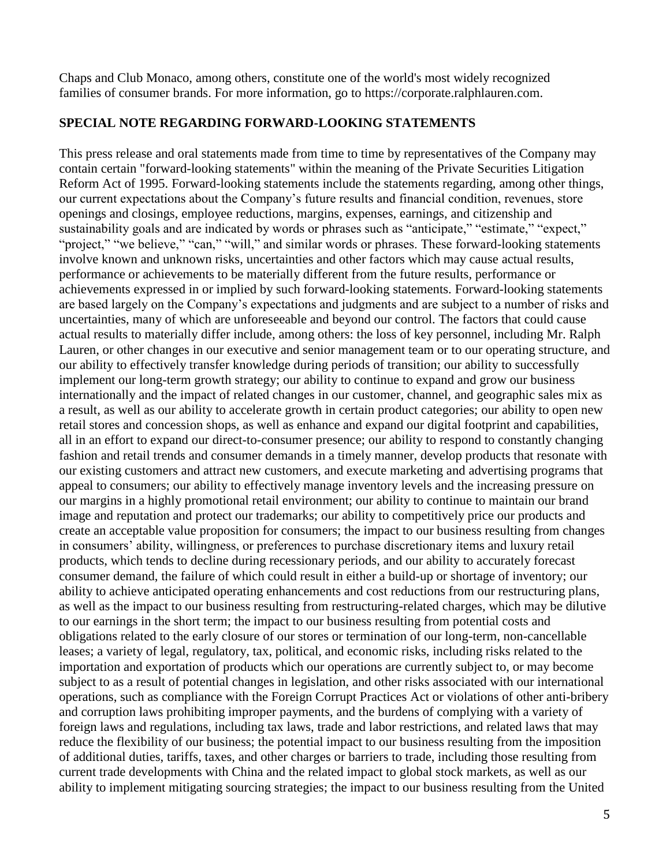Chaps and Club Monaco, among others, constitute one of the world's most widely recognized families of consumer brands. For more information, go to [https://corporate.ralphlauren.com.](https://corporate.ralphlauren.com/)

# **SPECIAL NOTE REGARDING FORWARD-LOOKING STATEMENTS**

This press release and oral statements made from time to time by representatives of the Company may contain certain "forward-looking statements" within the meaning of the Private Securities Litigation Reform Act of 1995. Forward-looking statements include the statements regarding, among other things, our current expectations about the Company's future results and financial condition, revenues, store openings and closings, employee reductions, margins, expenses, earnings, and citizenship and sustainability goals and are indicated by words or phrases such as "anticipate," "estimate," "expect," "project," "we believe," "can," "will," and similar words or phrases. These forward-looking statements involve known and unknown risks, uncertainties and other factors which may cause actual results, performance or achievements to be materially different from the future results, performance or achievements expressed in or implied by such forward-looking statements. Forward-looking statements are based largely on the Company's expectations and judgments and are subject to a number of risks and uncertainties, many of which are unforeseeable and beyond our control. The factors that could cause actual results to materially differ include, among others: the loss of key personnel, including Mr. Ralph Lauren, or other changes in our executive and senior management team or to our operating structure, and our ability to effectively transfer knowledge during periods of transition; our ability to successfully implement our long-term growth strategy; our ability to continue to expand and grow our business internationally and the impact of related changes in our customer, channel, and geographic sales mix as a result, as well as our ability to accelerate growth in certain product categories; our ability to open new retail stores and concession shops, as well as enhance and expand our digital footprint and capabilities, all in an effort to expand our direct-to-consumer presence; our ability to respond to constantly changing fashion and retail trends and consumer demands in a timely manner, develop products that resonate with our existing customers and attract new customers, and execute marketing and advertising programs that appeal to consumers; our ability to effectively manage inventory levels and the increasing pressure on our margins in a highly promotional retail environment; our ability to continue to maintain our brand image and reputation and protect our trademarks; our ability to competitively price our products and create an acceptable value proposition for consumers; the impact to our business resulting from changes in consumers' ability, willingness, or preferences to purchase discretionary items and luxury retail products, which tends to decline during recessionary periods, and our ability to accurately forecast consumer demand, the failure of which could result in either a build-up or shortage of inventory; our ability to achieve anticipated operating enhancements and cost reductions from our restructuring plans, as well as the impact to our business resulting from restructuring-related charges, which may be dilutive to our earnings in the short term; the impact to our business resulting from potential costs and obligations related to the early closure of our stores or termination of our long-term, non-cancellable leases; a variety of legal, regulatory, tax, political, and economic risks, including risks related to the importation and exportation of products which our operations are currently subject to, or may become subject to as a result of potential changes in legislation, and other risks associated with our international operations, such as compliance with the Foreign Corrupt Practices Act or violations of other anti-bribery and corruption laws prohibiting improper payments, and the burdens of complying with a variety of foreign laws and regulations, including tax laws, trade and labor restrictions, and related laws that may reduce the flexibility of our business; the potential impact to our business resulting from the imposition of additional duties, tariffs, taxes, and other charges or barriers to trade, including those resulting from current trade developments with China and the related impact to global stock markets, as well as our ability to implement mitigating sourcing strategies; the impact to our business resulting from the United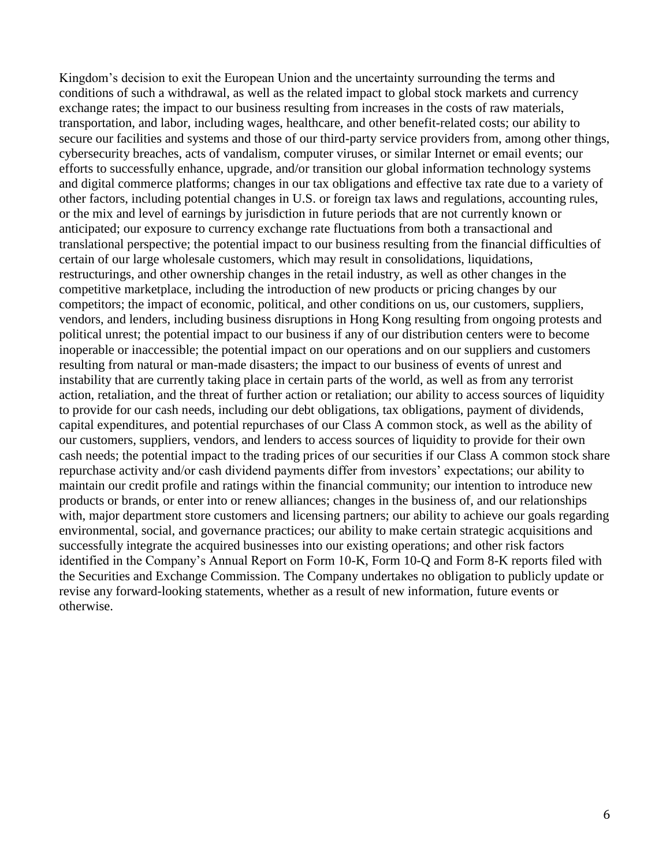Kingdom's decision to exit the European Union and the uncertainty surrounding the terms and conditions of such a withdrawal, as well as the related impact to global stock markets and currency exchange rates; the impact to our business resulting from increases in the costs of raw materials, transportation, and labor, including wages, healthcare, and other benefit-related costs; our ability to secure our facilities and systems and those of our third-party service providers from, among other things, cybersecurity breaches, acts of vandalism, computer viruses, or similar Internet or email events; our efforts to successfully enhance, upgrade, and/or transition our global information technology systems and digital commerce platforms; changes in our tax obligations and effective tax rate due to a variety of other factors, including potential changes in U.S. or foreign tax laws and regulations, accounting rules, or the mix and level of earnings by jurisdiction in future periods that are not currently known or anticipated; our exposure to currency exchange rate fluctuations from both a transactional and translational perspective; the potential impact to our business resulting from the financial difficulties of certain of our large wholesale customers, which may result in consolidations, liquidations, restructurings, and other ownership changes in the retail industry, as well as other changes in the competitive marketplace, including the introduction of new products or pricing changes by our competitors; the impact of economic, political, and other conditions on us, our customers, suppliers, vendors, and lenders, including business disruptions in Hong Kong resulting from ongoing protests and political unrest; the potential impact to our business if any of our distribution centers were to become inoperable or inaccessible; the potential impact on our operations and on our suppliers and customers resulting from natural or man-made disasters; the impact to our business of events of unrest and instability that are currently taking place in certain parts of the world, as well as from any terrorist action, retaliation, and the threat of further action or retaliation; our ability to access sources of liquidity to provide for our cash needs, including our debt obligations, tax obligations, payment of dividends, capital expenditures, and potential repurchases of our Class A common stock, as well as the ability of our customers, suppliers, vendors, and lenders to access sources of liquidity to provide for their own cash needs; the potential impact to the trading prices of our securities if our Class A common stock share repurchase activity and/or cash dividend payments differ from investors' expectations; our ability to maintain our credit profile and ratings within the financial community; our intention to introduce new products or brands, or enter into or renew alliances; changes in the business of, and our relationships with, major department store customers and licensing partners; our ability to achieve our goals regarding environmental, social, and governance practices; our ability to make certain strategic acquisitions and successfully integrate the acquired businesses into our existing operations; and other risk factors identified in the Company's Annual Report on Form 10-K, Form 10-Q and Form 8-K reports filed with the Securities and Exchange Commission. The Company undertakes no obligation to publicly update or revise any forward-looking statements, whether as a result of new information, future events or otherwise.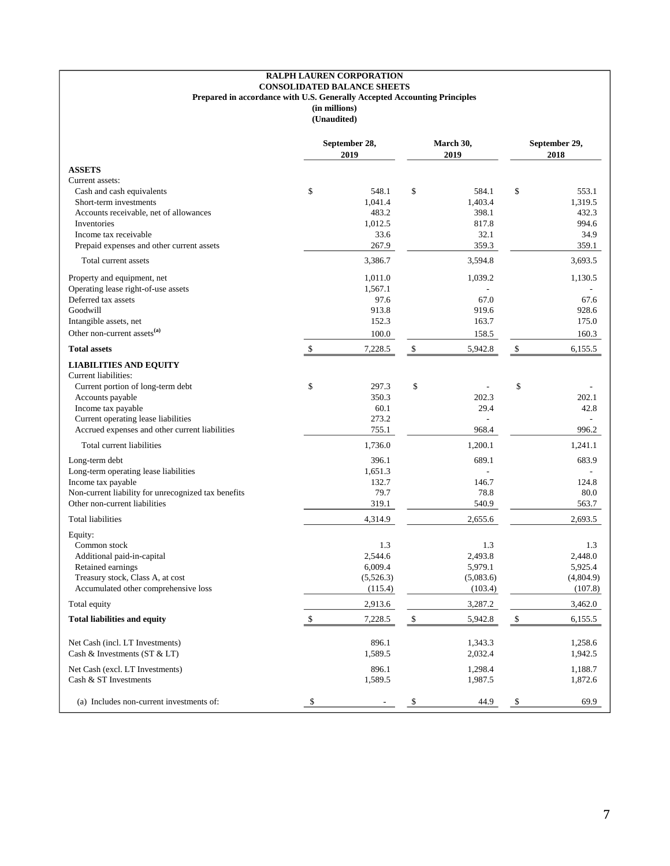#### **RALPH LAUREN CORPORATION CONSOLIDATED BALANCE SHEETS Prepared in accordance with U.S. Generally Accepted Accounting Principles (in millions) (Unaudited)**

| <b>ASSETS</b><br>Current assets:<br>\$<br>\$<br>\$<br>Cash and cash equivalents<br>548.1<br>584.1<br>553.1<br>1,403.4<br>1,319.5<br>Short-term investments<br>1,041.4<br>432.3<br>Accounts receivable, net of allowances<br>483.2<br>398.1<br>817.8<br>Inventories<br>1,012.5<br>994.6<br>32.1<br>34.9<br>Income tax receivable<br>33.6<br>267.9<br>Prepaid expenses and other current assets<br>359.3<br>359.1<br>3,693.5<br>Total current assets<br>3,386.7<br>3,594.8<br>Property and equipment, net<br>1,011.0<br>1,039.2<br>1,130.5<br>Operating lease right-of-use assets<br>1,567.1<br>Deferred tax assets<br>97.6<br>67.0<br>67.6<br>913.8<br>Goodwill<br>919.6<br>928.6<br>152.3<br>163.7<br>Intangible assets, net<br>175.0<br>Other non-current assets <sup>(a)</sup><br>100.0<br>158.5<br>160.3<br>\$<br>\$<br><b>Total assets</b><br>\$<br>7,228.5<br>5,942.8<br>6,155.5<br><b>LIABILITIES AND EQUITY</b><br>Current liabilities:<br>\$<br>\$<br>\$<br>Current portion of long-term debt<br>297.3<br>350.3<br>202.3<br>202.1<br>Accounts payable<br>Income tax payable<br>29.4<br>42.8<br>60.1<br>Current operating lease liabilities<br>273.2<br>Accrued expenses and other current liabilities<br>755.1<br>968.4<br>996.2<br>1,736.0<br>Total current liabilities<br>1,200.1<br>1,241.1<br>Long-term debt<br>396.1<br>689.1<br>683.9<br>Long-term operating lease liabilities<br>1,651.3<br>Income tax payable<br>132.7<br>146.7<br>124.8<br>79.7<br>78.8<br>Non-current liability for unrecognized tax benefits<br>80.0<br>Other non-current liabilities<br>319.1<br>540.9<br>563.7<br>4,314.9<br>2,655.6<br>2,693.5<br>Total liabilities<br>Equity:<br>1.3<br>1.3<br>Common stock<br>1.3<br>2,544.6<br>2,493.8<br>2,448.0<br>Additional paid-in-capital<br>Retained earnings<br>6,009.4<br>5,979.1<br>5,925.4<br>Treasury stock, Class A, at cost<br>(5,526.3)<br>(5,083.6)<br>(4,804.9)<br>Accumulated other comprehensive loss<br>(103.4)<br>(107.8)<br>(115.4)<br>2,913.6<br>3,287.2<br>3,462.0<br>Total equity<br>\$<br>\$<br>\$<br>7,228.5<br>5,942.8<br>6,155.5<br><b>Total liabilities and equity</b><br>896.1<br>Net Cash (incl. LT Investments)<br>1,343.3<br>1,258.6<br>Cash & Investments $(ST & LT)$<br>1,589.5<br>2,032.4<br>1,942.5<br>Net Cash (excl. LT Investments)<br>896.1<br>1,298.4<br>1,188.7<br>Cash & ST Investments<br>1,589.5<br>1,987.5<br>1,872.6<br>(a) Includes non-current investments of:<br>69.9<br>\$<br>\$<br>\$ | September 28,<br>2019 |  | March 30,<br>2019 |      | September 29,<br>2018 |  |  |
|----------------------------------------------------------------------------------------------------------------------------------------------------------------------------------------------------------------------------------------------------------------------------------------------------------------------------------------------------------------------------------------------------------------------------------------------------------------------------------------------------------------------------------------------------------------------------------------------------------------------------------------------------------------------------------------------------------------------------------------------------------------------------------------------------------------------------------------------------------------------------------------------------------------------------------------------------------------------------------------------------------------------------------------------------------------------------------------------------------------------------------------------------------------------------------------------------------------------------------------------------------------------------------------------------------------------------------------------------------------------------------------------------------------------------------------------------------------------------------------------------------------------------------------------------------------------------------------------------------------------------------------------------------------------------------------------------------------------------------------------------------------------------------------------------------------------------------------------------------------------------------------------------------------------------------------------------------------------------------------------------------------------------------------------------------------------------------------------------------------------------------------------------------------------------------------------------------------------------------------------------------------------------------------------------------------------------------------------------------------------------------------------------------------------------------------------------------------------|-----------------------|--|-------------------|------|-----------------------|--|--|
|                                                                                                                                                                                                                                                                                                                                                                                                                                                                                                                                                                                                                                                                                                                                                                                                                                                                                                                                                                                                                                                                                                                                                                                                                                                                                                                                                                                                                                                                                                                                                                                                                                                                                                                                                                                                                                                                                                                                                                                                                                                                                                                                                                                                                                                                                                                                                                                                                                                                      |                       |  |                   |      |                       |  |  |
|                                                                                                                                                                                                                                                                                                                                                                                                                                                                                                                                                                                                                                                                                                                                                                                                                                                                                                                                                                                                                                                                                                                                                                                                                                                                                                                                                                                                                                                                                                                                                                                                                                                                                                                                                                                                                                                                                                                                                                                                                                                                                                                                                                                                                                                                                                                                                                                                                                                                      |                       |  |                   |      |                       |  |  |
|                                                                                                                                                                                                                                                                                                                                                                                                                                                                                                                                                                                                                                                                                                                                                                                                                                                                                                                                                                                                                                                                                                                                                                                                                                                                                                                                                                                                                                                                                                                                                                                                                                                                                                                                                                                                                                                                                                                                                                                                                                                                                                                                                                                                                                                                                                                                                                                                                                                                      |                       |  |                   |      |                       |  |  |
|                                                                                                                                                                                                                                                                                                                                                                                                                                                                                                                                                                                                                                                                                                                                                                                                                                                                                                                                                                                                                                                                                                                                                                                                                                                                                                                                                                                                                                                                                                                                                                                                                                                                                                                                                                                                                                                                                                                                                                                                                                                                                                                                                                                                                                                                                                                                                                                                                                                                      |                       |  |                   |      |                       |  |  |
|                                                                                                                                                                                                                                                                                                                                                                                                                                                                                                                                                                                                                                                                                                                                                                                                                                                                                                                                                                                                                                                                                                                                                                                                                                                                                                                                                                                                                                                                                                                                                                                                                                                                                                                                                                                                                                                                                                                                                                                                                                                                                                                                                                                                                                                                                                                                                                                                                                                                      |                       |  |                   |      |                       |  |  |
|                                                                                                                                                                                                                                                                                                                                                                                                                                                                                                                                                                                                                                                                                                                                                                                                                                                                                                                                                                                                                                                                                                                                                                                                                                                                                                                                                                                                                                                                                                                                                                                                                                                                                                                                                                                                                                                                                                                                                                                                                                                                                                                                                                                                                                                                                                                                                                                                                                                                      |                       |  |                   |      |                       |  |  |
|                                                                                                                                                                                                                                                                                                                                                                                                                                                                                                                                                                                                                                                                                                                                                                                                                                                                                                                                                                                                                                                                                                                                                                                                                                                                                                                                                                                                                                                                                                                                                                                                                                                                                                                                                                                                                                                                                                                                                                                                                                                                                                                                                                                                                                                                                                                                                                                                                                                                      |                       |  |                   |      |                       |  |  |
|                                                                                                                                                                                                                                                                                                                                                                                                                                                                                                                                                                                                                                                                                                                                                                                                                                                                                                                                                                                                                                                                                                                                                                                                                                                                                                                                                                                                                                                                                                                                                                                                                                                                                                                                                                                                                                                                                                                                                                                                                                                                                                                                                                                                                                                                                                                                                                                                                                                                      |                       |  |                   |      |                       |  |  |
|                                                                                                                                                                                                                                                                                                                                                                                                                                                                                                                                                                                                                                                                                                                                                                                                                                                                                                                                                                                                                                                                                                                                                                                                                                                                                                                                                                                                                                                                                                                                                                                                                                                                                                                                                                                                                                                                                                                                                                                                                                                                                                                                                                                                                                                                                                                                                                                                                                                                      |                       |  |                   |      |                       |  |  |
|                                                                                                                                                                                                                                                                                                                                                                                                                                                                                                                                                                                                                                                                                                                                                                                                                                                                                                                                                                                                                                                                                                                                                                                                                                                                                                                                                                                                                                                                                                                                                                                                                                                                                                                                                                                                                                                                                                                                                                                                                                                                                                                                                                                                                                                                                                                                                                                                                                                                      |                       |  |                   |      |                       |  |  |
|                                                                                                                                                                                                                                                                                                                                                                                                                                                                                                                                                                                                                                                                                                                                                                                                                                                                                                                                                                                                                                                                                                                                                                                                                                                                                                                                                                                                                                                                                                                                                                                                                                                                                                                                                                                                                                                                                                                                                                                                                                                                                                                                                                                                                                                                                                                                                                                                                                                                      |                       |  |                   |      |                       |  |  |
|                                                                                                                                                                                                                                                                                                                                                                                                                                                                                                                                                                                                                                                                                                                                                                                                                                                                                                                                                                                                                                                                                                                                                                                                                                                                                                                                                                                                                                                                                                                                                                                                                                                                                                                                                                                                                                                                                                                                                                                                                                                                                                                                                                                                                                                                                                                                                                                                                                                                      |                       |  |                   |      |                       |  |  |
|                                                                                                                                                                                                                                                                                                                                                                                                                                                                                                                                                                                                                                                                                                                                                                                                                                                                                                                                                                                                                                                                                                                                                                                                                                                                                                                                                                                                                                                                                                                                                                                                                                                                                                                                                                                                                                                                                                                                                                                                                                                                                                                                                                                                                                                                                                                                                                                                                                                                      |                       |  |                   |      |                       |  |  |
|                                                                                                                                                                                                                                                                                                                                                                                                                                                                                                                                                                                                                                                                                                                                                                                                                                                                                                                                                                                                                                                                                                                                                                                                                                                                                                                                                                                                                                                                                                                                                                                                                                                                                                                                                                                                                                                                                                                                                                                                                                                                                                                                                                                                                                                                                                                                                                                                                                                                      |                       |  |                   |      |                       |  |  |
|                                                                                                                                                                                                                                                                                                                                                                                                                                                                                                                                                                                                                                                                                                                                                                                                                                                                                                                                                                                                                                                                                                                                                                                                                                                                                                                                                                                                                                                                                                                                                                                                                                                                                                                                                                                                                                                                                                                                                                                                                                                                                                                                                                                                                                                                                                                                                                                                                                                                      |                       |  |                   |      |                       |  |  |
|                                                                                                                                                                                                                                                                                                                                                                                                                                                                                                                                                                                                                                                                                                                                                                                                                                                                                                                                                                                                                                                                                                                                                                                                                                                                                                                                                                                                                                                                                                                                                                                                                                                                                                                                                                                                                                                                                                                                                                                                                                                                                                                                                                                                                                                                                                                                                                                                                                                                      |                       |  |                   |      |                       |  |  |
|                                                                                                                                                                                                                                                                                                                                                                                                                                                                                                                                                                                                                                                                                                                                                                                                                                                                                                                                                                                                                                                                                                                                                                                                                                                                                                                                                                                                                                                                                                                                                                                                                                                                                                                                                                                                                                                                                                                                                                                                                                                                                                                                                                                                                                                                                                                                                                                                                                                                      |                       |  |                   |      |                       |  |  |
|                                                                                                                                                                                                                                                                                                                                                                                                                                                                                                                                                                                                                                                                                                                                                                                                                                                                                                                                                                                                                                                                                                                                                                                                                                                                                                                                                                                                                                                                                                                                                                                                                                                                                                                                                                                                                                                                                                                                                                                                                                                                                                                                                                                                                                                                                                                                                                                                                                                                      |                       |  |                   |      |                       |  |  |
|                                                                                                                                                                                                                                                                                                                                                                                                                                                                                                                                                                                                                                                                                                                                                                                                                                                                                                                                                                                                                                                                                                                                                                                                                                                                                                                                                                                                                                                                                                                                                                                                                                                                                                                                                                                                                                                                                                                                                                                                                                                                                                                                                                                                                                                                                                                                                                                                                                                                      |                       |  |                   |      |                       |  |  |
|                                                                                                                                                                                                                                                                                                                                                                                                                                                                                                                                                                                                                                                                                                                                                                                                                                                                                                                                                                                                                                                                                                                                                                                                                                                                                                                                                                                                                                                                                                                                                                                                                                                                                                                                                                                                                                                                                                                                                                                                                                                                                                                                                                                                                                                                                                                                                                                                                                                                      |                       |  |                   |      |                       |  |  |
|                                                                                                                                                                                                                                                                                                                                                                                                                                                                                                                                                                                                                                                                                                                                                                                                                                                                                                                                                                                                                                                                                                                                                                                                                                                                                                                                                                                                                                                                                                                                                                                                                                                                                                                                                                                                                                                                                                                                                                                                                                                                                                                                                                                                                                                                                                                                                                                                                                                                      |                       |  |                   |      |                       |  |  |
|                                                                                                                                                                                                                                                                                                                                                                                                                                                                                                                                                                                                                                                                                                                                                                                                                                                                                                                                                                                                                                                                                                                                                                                                                                                                                                                                                                                                                                                                                                                                                                                                                                                                                                                                                                                                                                                                                                                                                                                                                                                                                                                                                                                                                                                                                                                                                                                                                                                                      |                       |  |                   |      |                       |  |  |
|                                                                                                                                                                                                                                                                                                                                                                                                                                                                                                                                                                                                                                                                                                                                                                                                                                                                                                                                                                                                                                                                                                                                                                                                                                                                                                                                                                                                                                                                                                                                                                                                                                                                                                                                                                                                                                                                                                                                                                                                                                                                                                                                                                                                                                                                                                                                                                                                                                                                      |                       |  |                   |      |                       |  |  |
|                                                                                                                                                                                                                                                                                                                                                                                                                                                                                                                                                                                                                                                                                                                                                                                                                                                                                                                                                                                                                                                                                                                                                                                                                                                                                                                                                                                                                                                                                                                                                                                                                                                                                                                                                                                                                                                                                                                                                                                                                                                                                                                                                                                                                                                                                                                                                                                                                                                                      |                       |  |                   |      |                       |  |  |
|                                                                                                                                                                                                                                                                                                                                                                                                                                                                                                                                                                                                                                                                                                                                                                                                                                                                                                                                                                                                                                                                                                                                                                                                                                                                                                                                                                                                                                                                                                                                                                                                                                                                                                                                                                                                                                                                                                                                                                                                                                                                                                                                                                                                                                                                                                                                                                                                                                                                      |                       |  |                   |      |                       |  |  |
|                                                                                                                                                                                                                                                                                                                                                                                                                                                                                                                                                                                                                                                                                                                                                                                                                                                                                                                                                                                                                                                                                                                                                                                                                                                                                                                                                                                                                                                                                                                                                                                                                                                                                                                                                                                                                                                                                                                                                                                                                                                                                                                                                                                                                                                                                                                                                                                                                                                                      |                       |  |                   |      |                       |  |  |
|                                                                                                                                                                                                                                                                                                                                                                                                                                                                                                                                                                                                                                                                                                                                                                                                                                                                                                                                                                                                                                                                                                                                                                                                                                                                                                                                                                                                                                                                                                                                                                                                                                                                                                                                                                                                                                                                                                                                                                                                                                                                                                                                                                                                                                                                                                                                                                                                                                                                      |                       |  |                   |      |                       |  |  |
|                                                                                                                                                                                                                                                                                                                                                                                                                                                                                                                                                                                                                                                                                                                                                                                                                                                                                                                                                                                                                                                                                                                                                                                                                                                                                                                                                                                                                                                                                                                                                                                                                                                                                                                                                                                                                                                                                                                                                                                                                                                                                                                                                                                                                                                                                                                                                                                                                                                                      |                       |  |                   |      |                       |  |  |
|                                                                                                                                                                                                                                                                                                                                                                                                                                                                                                                                                                                                                                                                                                                                                                                                                                                                                                                                                                                                                                                                                                                                                                                                                                                                                                                                                                                                                                                                                                                                                                                                                                                                                                                                                                                                                                                                                                                                                                                                                                                                                                                                                                                                                                                                                                                                                                                                                                                                      |                       |  |                   |      |                       |  |  |
|                                                                                                                                                                                                                                                                                                                                                                                                                                                                                                                                                                                                                                                                                                                                                                                                                                                                                                                                                                                                                                                                                                                                                                                                                                                                                                                                                                                                                                                                                                                                                                                                                                                                                                                                                                                                                                                                                                                                                                                                                                                                                                                                                                                                                                                                                                                                                                                                                                                                      |                       |  |                   |      |                       |  |  |
|                                                                                                                                                                                                                                                                                                                                                                                                                                                                                                                                                                                                                                                                                                                                                                                                                                                                                                                                                                                                                                                                                                                                                                                                                                                                                                                                                                                                                                                                                                                                                                                                                                                                                                                                                                                                                                                                                                                                                                                                                                                                                                                                                                                                                                                                                                                                                                                                                                                                      |                       |  |                   |      |                       |  |  |
|                                                                                                                                                                                                                                                                                                                                                                                                                                                                                                                                                                                                                                                                                                                                                                                                                                                                                                                                                                                                                                                                                                                                                                                                                                                                                                                                                                                                                                                                                                                                                                                                                                                                                                                                                                                                                                                                                                                                                                                                                                                                                                                                                                                                                                                                                                                                                                                                                                                                      |                       |  |                   |      |                       |  |  |
|                                                                                                                                                                                                                                                                                                                                                                                                                                                                                                                                                                                                                                                                                                                                                                                                                                                                                                                                                                                                                                                                                                                                                                                                                                                                                                                                                                                                                                                                                                                                                                                                                                                                                                                                                                                                                                                                                                                                                                                                                                                                                                                                                                                                                                                                                                                                                                                                                                                                      |                       |  |                   |      |                       |  |  |
|                                                                                                                                                                                                                                                                                                                                                                                                                                                                                                                                                                                                                                                                                                                                                                                                                                                                                                                                                                                                                                                                                                                                                                                                                                                                                                                                                                                                                                                                                                                                                                                                                                                                                                                                                                                                                                                                                                                                                                                                                                                                                                                                                                                                                                                                                                                                                                                                                                                                      |                       |  |                   |      |                       |  |  |
|                                                                                                                                                                                                                                                                                                                                                                                                                                                                                                                                                                                                                                                                                                                                                                                                                                                                                                                                                                                                                                                                                                                                                                                                                                                                                                                                                                                                                                                                                                                                                                                                                                                                                                                                                                                                                                                                                                                                                                                                                                                                                                                                                                                                                                                                                                                                                                                                                                                                      |                       |  |                   |      |                       |  |  |
|                                                                                                                                                                                                                                                                                                                                                                                                                                                                                                                                                                                                                                                                                                                                                                                                                                                                                                                                                                                                                                                                                                                                                                                                                                                                                                                                                                                                                                                                                                                                                                                                                                                                                                                                                                                                                                                                                                                                                                                                                                                                                                                                                                                                                                                                                                                                                                                                                                                                      |                       |  |                   |      |                       |  |  |
|                                                                                                                                                                                                                                                                                                                                                                                                                                                                                                                                                                                                                                                                                                                                                                                                                                                                                                                                                                                                                                                                                                                                                                                                                                                                                                                                                                                                                                                                                                                                                                                                                                                                                                                                                                                                                                                                                                                                                                                                                                                                                                                                                                                                                                                                                                                                                                                                                                                                      |                       |  |                   |      |                       |  |  |
|                                                                                                                                                                                                                                                                                                                                                                                                                                                                                                                                                                                                                                                                                                                                                                                                                                                                                                                                                                                                                                                                                                                                                                                                                                                                                                                                                                                                                                                                                                                                                                                                                                                                                                                                                                                                                                                                                                                                                                                                                                                                                                                                                                                                                                                                                                                                                                                                                                                                      |                       |  |                   |      |                       |  |  |
|                                                                                                                                                                                                                                                                                                                                                                                                                                                                                                                                                                                                                                                                                                                                                                                                                                                                                                                                                                                                                                                                                                                                                                                                                                                                                                                                                                                                                                                                                                                                                                                                                                                                                                                                                                                                                                                                                                                                                                                                                                                                                                                                                                                                                                                                                                                                                                                                                                                                      |                       |  |                   |      |                       |  |  |
|                                                                                                                                                                                                                                                                                                                                                                                                                                                                                                                                                                                                                                                                                                                                                                                                                                                                                                                                                                                                                                                                                                                                                                                                                                                                                                                                                                                                                                                                                                                                                                                                                                                                                                                                                                                                                                                                                                                                                                                                                                                                                                                                                                                                                                                                                                                                                                                                                                                                      |                       |  |                   |      |                       |  |  |
|                                                                                                                                                                                                                                                                                                                                                                                                                                                                                                                                                                                                                                                                                                                                                                                                                                                                                                                                                                                                                                                                                                                                                                                                                                                                                                                                                                                                                                                                                                                                                                                                                                                                                                                                                                                                                                                                                                                                                                                                                                                                                                                                                                                                                                                                                                                                                                                                                                                                      |                       |  |                   |      |                       |  |  |
|                                                                                                                                                                                                                                                                                                                                                                                                                                                                                                                                                                                                                                                                                                                                                                                                                                                                                                                                                                                                                                                                                                                                                                                                                                                                                                                                                                                                                                                                                                                                                                                                                                                                                                                                                                                                                                                                                                                                                                                                                                                                                                                                                                                                                                                                                                                                                                                                                                                                      |                       |  |                   | 44.9 |                       |  |  |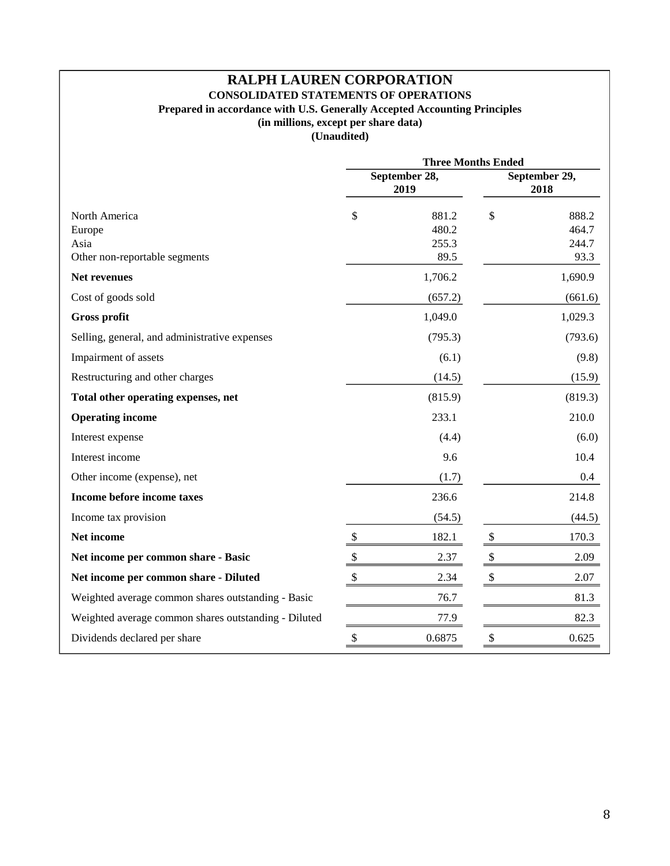# **RALPH LAUREN CORPORATION CONSOLIDATED STATEMENTS OF OPERATIONS Prepared in accordance with U.S. Generally Accepted Accounting Principles (in millions, except per share data)**

|                                                      | <b>Three Months Ended</b> |                       |                           |                |  |  |
|------------------------------------------------------|---------------------------|-----------------------|---------------------------|----------------|--|--|
|                                                      |                           | September 28,<br>2019 | September 29,<br>2018     |                |  |  |
| North America<br>Europe                              | \$                        | 881.2<br>480.2        | \$                        | 888.2<br>464.7 |  |  |
| Asia<br>Other non-reportable segments                |                           | 255.3<br>89.5         |                           | 244.7<br>93.3  |  |  |
| <b>Net revenues</b>                                  |                           | 1,706.2               |                           | 1,690.9        |  |  |
| Cost of goods sold                                   |                           | (657.2)               |                           | (661.6)        |  |  |
| <b>Gross profit</b>                                  |                           | 1,049.0               |                           | 1,029.3        |  |  |
| Selling, general, and administrative expenses        |                           | (795.3)               |                           | (793.6)        |  |  |
| Impairment of assets                                 |                           | (6.1)                 |                           | (9.8)          |  |  |
| Restructuring and other charges                      |                           | (14.5)                |                           | (15.9)         |  |  |
| Total other operating expenses, net                  |                           | (815.9)               |                           | (819.3)        |  |  |
| <b>Operating income</b>                              |                           | 233.1                 |                           | 210.0          |  |  |
| Interest expense                                     |                           | (4.4)                 |                           | (6.0)          |  |  |
| Interest income                                      |                           | 9.6                   |                           | 10.4           |  |  |
| Other income (expense), net                          |                           | (1.7)                 |                           | 0.4            |  |  |
| Income before income taxes                           |                           | 236.6                 |                           | 214.8          |  |  |
| Income tax provision                                 |                           | (54.5)                |                           | (44.5)         |  |  |
| Net income                                           | $\boldsymbol{\mathsf{S}}$ | 182.1                 | $\boldsymbol{\mathsf{S}}$ | 170.3          |  |  |
| Net income per common share - Basic                  | $\boldsymbol{\mathbb{S}}$ | 2.37                  | $\mathbb{S}$              | 2.09           |  |  |
| Net income per common share - Diluted                | \$                        | 2.34                  | \$                        | 2.07           |  |  |
| Weighted average common shares outstanding - Basic   |                           | 76.7                  |                           | 81.3           |  |  |
| Weighted average common shares outstanding - Diluted |                           | 77.9                  |                           | 82.3           |  |  |
| Dividends declared per share                         | \$                        | 0.6875                | \$                        | 0.625          |  |  |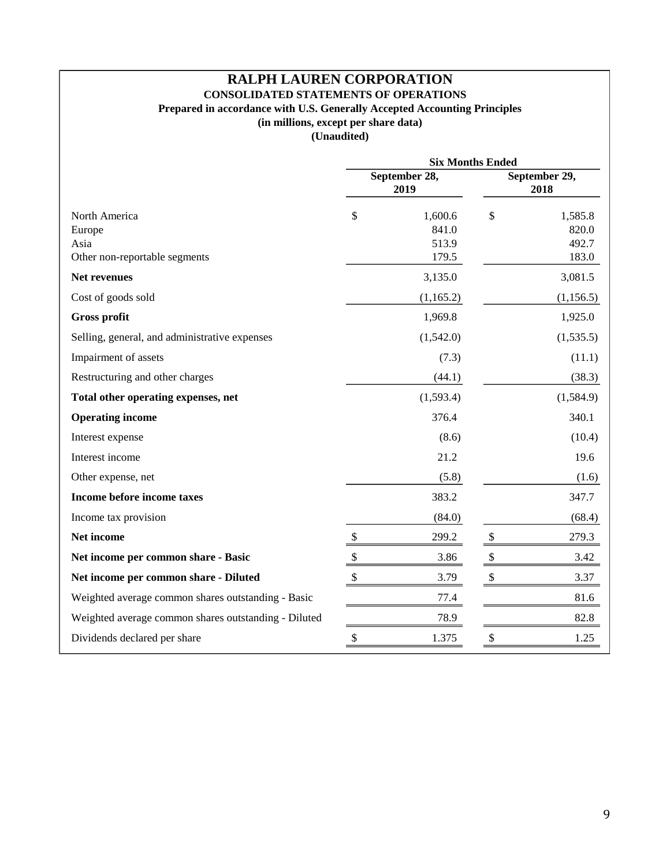# **RALPH LAUREN CORPORATION CONSOLIDATED STATEMENTS OF OPERATIONS Prepared in accordance with U.S. Generally Accepted Accounting Principles (in millions, except per share data)**

|                                                                  | <b>Six Months Ended</b> |                                    |                       |                                    |  |  |
|------------------------------------------------------------------|-------------------------|------------------------------------|-----------------------|------------------------------------|--|--|
|                                                                  |                         | September 28,<br>2019              | September 29,<br>2018 |                                    |  |  |
| North America<br>Europe<br>Asia<br>Other non-reportable segments | \$                      | 1,600.6<br>841.0<br>513.9<br>179.5 | \$                    | 1,585.8<br>820.0<br>492.7<br>183.0 |  |  |
| <b>Net revenues</b>                                              |                         | 3,135.0                            |                       | 3,081.5                            |  |  |
| Cost of goods sold                                               |                         | (1,165.2)                          |                       | (1,156.5)                          |  |  |
| <b>Gross profit</b>                                              |                         | 1,969.8                            |                       | 1,925.0                            |  |  |
| Selling, general, and administrative expenses                    |                         | (1,542.0)                          |                       | (1,535.5)                          |  |  |
| Impairment of assets                                             |                         | (7.3)                              |                       | (11.1)                             |  |  |
| Restructuring and other charges                                  |                         | (44.1)                             |                       | (38.3)                             |  |  |
| Total other operating expenses, net                              |                         | (1,593.4)                          |                       | (1,584.9)                          |  |  |
| <b>Operating income</b>                                          |                         | 376.4                              |                       | 340.1                              |  |  |
| Interest expense                                                 |                         | (8.6)                              |                       | (10.4)                             |  |  |
| Interest income                                                  |                         | 21.2                               |                       | 19.6                               |  |  |
| Other expense, net                                               |                         | (5.8)                              |                       | (1.6)                              |  |  |
| Income before income taxes                                       |                         | 383.2                              |                       | 347.7                              |  |  |
| Income tax provision                                             |                         | (84.0)                             |                       | (68.4)                             |  |  |
| Net income                                                       | $\$\,$                  | 299.2                              | \$                    | 279.3                              |  |  |
| Net income per common share - Basic                              | $\$\,$                  | 3.86                               | \$                    | 3.42                               |  |  |
| Net income per common share - Diluted                            | \$                      | 3.79                               | \$                    | 3.37                               |  |  |
| Weighted average common shares outstanding - Basic               |                         | 77.4                               |                       | 81.6                               |  |  |
| Weighted average common shares outstanding - Diluted             |                         | 78.9                               |                       | 82.8                               |  |  |
| Dividends declared per share                                     | \$                      | 1.375                              | \$                    | 1.25                               |  |  |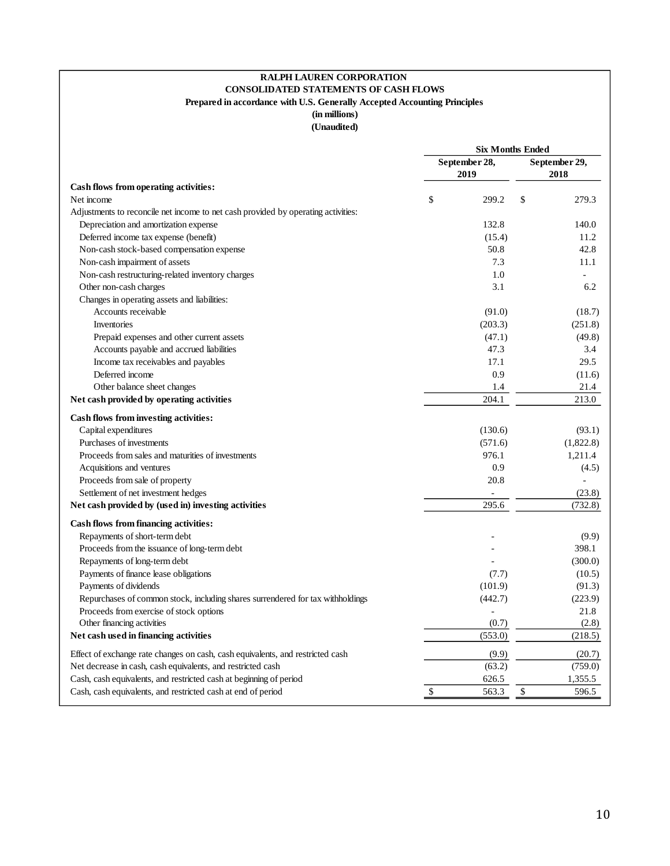## **RALPH LAUREN CORPORATION CONSOLIDATED STATEMENTS OF CASH FLOWS Prepared in accordance with U.S. Generally Accepted Accounting Principles**

**(in millions) (Unaudited)**

|                                                                                   | <b>Six Months Ended</b> |                |               |           |  |
|-----------------------------------------------------------------------------------|-------------------------|----------------|---------------|-----------|--|
|                                                                                   |                         | September 28,  | September 29, |           |  |
|                                                                                   |                         | 2019           |               | 2018      |  |
| Cash flows from operating activities:                                             |                         |                |               |           |  |
| Net income                                                                        | \$                      | 299.2          | \$            | 279.3     |  |
| Adjustments to reconcile net income to net cash provided by operating activities: |                         |                |               |           |  |
| Depreciation and amortization expense                                             |                         | 132.8          |               | 140.0     |  |
| Deferred income tax expense (benefit)                                             |                         | (15.4)         |               | 11.2      |  |
| Non-cash stock-based compensation expense                                         |                         | 50.8           |               | 42.8      |  |
| Non-cash impairment of assets                                                     |                         | 7.3            |               | 11.1      |  |
| Non-cash restructuring-related inventory charges                                  |                         | 1.0            |               |           |  |
| Other non-cash charges                                                            |                         | 3.1            |               | 6.2       |  |
| Changes in operating assets and liabilities:                                      |                         |                |               |           |  |
| Accounts receivable                                                               |                         | (91.0)         |               | (18.7)    |  |
| <b>Inventories</b>                                                                |                         | (203.3)        |               | (251.8)   |  |
| Prepaid expenses and other current assets                                         |                         | (47.1)         |               | (49.8)    |  |
| Accounts payable and accrued liabilities                                          |                         | 47.3           |               | 3.4       |  |
| Income tax receivables and payables                                               |                         | 17.1           |               | 29.5      |  |
| Deferred income                                                                   |                         | 0.9            |               | (11.6)    |  |
| Other balance sheet changes                                                       |                         | 1.4            |               | 21.4      |  |
| Net cash provided by operating activities                                         |                         | 204.1          |               | 213.0     |  |
| Cash flows from investing activities:                                             |                         |                |               |           |  |
| Capital expenditures                                                              |                         | (130.6)        |               | (93.1)    |  |
| Purchases of investments                                                          |                         | (571.6)        |               | (1,822.8) |  |
| Proceeds from sales and maturities of investments                                 |                         | 976.1          |               | 1,211.4   |  |
| Acquisitions and ventures                                                         |                         | 0.9            |               | (4.5)     |  |
| Proceeds from sale of property                                                    |                         | 20.8           |               |           |  |
| Settlement of net investment hedges                                               |                         |                |               | (23.8)    |  |
| Net cash provided by (used in) investing activities                               |                         | 295.6          |               | (732.8)   |  |
|                                                                                   |                         |                |               |           |  |
| <b>Cash flows from financing activities:</b>                                      |                         |                |               |           |  |
| Repayments of short-term debt                                                     |                         |                |               | (9.9)     |  |
| Proceeds from the issuance of long-term debt                                      |                         |                |               | 398.1     |  |
| Repayments of long-term debt                                                      |                         |                |               | (300.0)   |  |
| Payments of finance lease obligations                                             |                         | (7.7)          |               | (10.5)    |  |
| Payments of dividends                                                             |                         | (101.9)        |               | (91.3)    |  |
| Repurchases of common stock, including shares surrendered for tax withholdings    |                         | (442.7)        |               | (223.9)   |  |
| Proceeds from exercise of stock options                                           |                         | $\overline{a}$ |               | 21.8      |  |
| Other financing activities                                                        |                         | (0.7)          |               | (2.8)     |  |
| Net cash used in financing activities                                             |                         | (553.0)        |               | (218.5)   |  |
| Effect of exchange rate changes on cash, cash equivalents, and restricted cash    |                         | (9.9)          |               | (20.7)    |  |
| Net decrease in cash, cash equivalents, and restricted cash                       |                         | (63.2)         |               | (759.0)   |  |
| Cash, cash equivalents, and restricted cash at beginning of period                |                         | 626.5          |               | 1,355.5   |  |
| Cash, cash equivalents, and restricted cash at end of period                      | \$                      | 563.3          | \$            | 596.5     |  |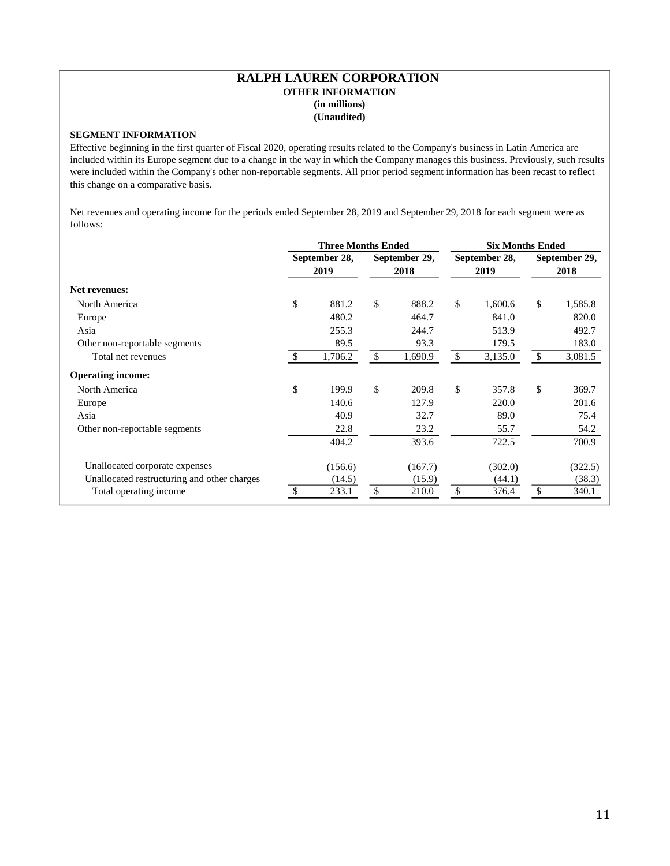#### **RALPH LAUREN CORPORATION OTHER INFORMATION (in millions) (Unaudited)**

## **SEGMENT INFORMATION**

Effective beginning in the first quarter of Fiscal 2020, operating results related to the Company's business in Latin America are included within its Europe segment due to a change in the way in which the Company manages this business. Previously, such results were included within the Company's other non-reportable segments. All prior period segment information has been recast to reflect this change on a comparative basis.

Net revenues and operating income for the periods ended September 28, 2019 and September 29, 2018 for each segment were as follows:

|                                             | <b>Three Months Ended</b> |         |               |         | <b>Six Months Ended</b> |         |               |         |
|---------------------------------------------|---------------------------|---------|---------------|---------|-------------------------|---------|---------------|---------|
|                                             | September 28,             |         | September 29, |         | September 28,           |         | September 29, |         |
|                                             |                           | 2019    |               | 2018    |                         | 2019    |               | 2018    |
| <b>Net revenues:</b>                        |                           |         |               |         |                         |         |               |         |
| North America                               | \$                        | 881.2   | \$            | 888.2   | \$                      | 1,600.6 | \$            | 1,585.8 |
| Europe                                      |                           | 480.2   |               | 464.7   |                         | 841.0   |               | 820.0   |
| Asia                                        |                           | 255.3   |               | 244.7   |                         | 513.9   |               | 492.7   |
| Other non-reportable segments               |                           | 89.5    |               | 93.3    |                         | 179.5   |               | 183.0   |
| Total net revenues                          |                           | 1,706.2 | \$            | 1,690.9 | \$                      | 3,135.0 | \$            | 3,081.5 |
| <b>Operating income:</b>                    |                           |         |               |         |                         |         |               |         |
| North America                               | \$                        | 199.9   | \$            | 209.8   | \$                      | 357.8   | \$            | 369.7   |
| Europe                                      |                           | 140.6   |               | 127.9   |                         | 220.0   |               | 201.6   |
| Asia                                        |                           | 40.9    |               | 32.7    |                         | 89.0    |               | 75.4    |
| Other non-reportable segments               |                           | 22.8    |               | 23.2    |                         | 55.7    |               | 54.2    |
|                                             |                           | 404.2   |               | 393.6   |                         | 722.5   |               | 700.9   |
| Unallocated corporate expenses              |                           | (156.6) |               | (167.7) |                         | (302.0) |               | (322.5) |
| Unallocated restructuring and other charges |                           | (14.5)  |               | (15.9)  |                         | (44.1)  |               | (38.3)  |
| Total operating income                      |                           | 233.1   |               | 210.0   | \$                      | 376.4   | \$            | 340.1   |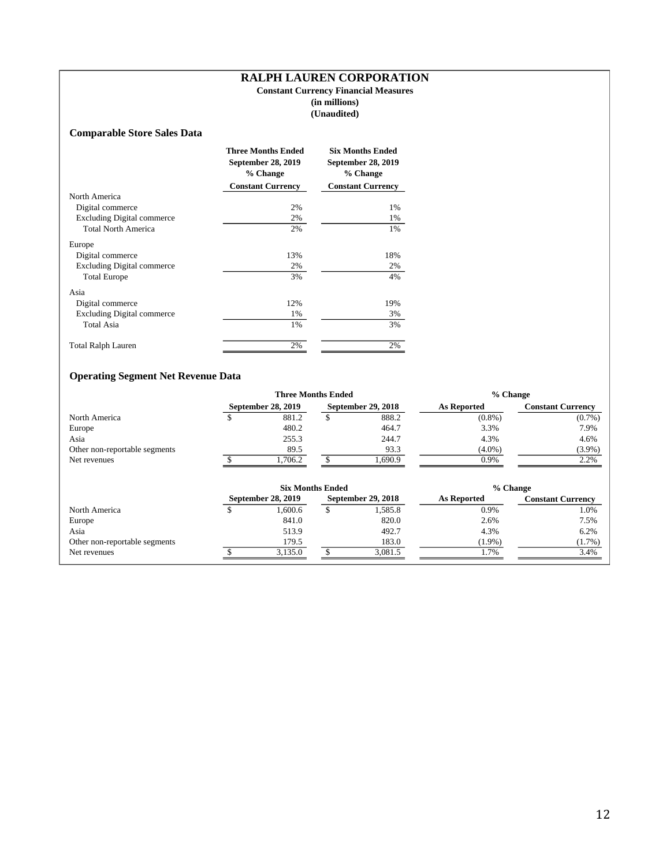#### **RALPH LAUREN CORPORATION Constant Currency Financial Measures (in millions) (Unaudited)**

### **Comparable Store Sales Data**

| <b>Three Months Ended</b><br>September 28, 2019<br>% Change |                          | <b>Six Months Ended</b><br>September 28, 2019<br>% Change |
|-------------------------------------------------------------|--------------------------|-----------------------------------------------------------|
|                                                             | <b>Constant Currency</b> | <b>Constant Currency</b>                                  |
| North America                                               |                          |                                                           |
| Digital commerce                                            | 2%                       | 1%                                                        |
| <b>Excluding Digital commerce</b>                           | 2%                       | 1%                                                        |
| <b>Total North America</b>                                  | 2%                       | 1%                                                        |
| Europe                                                      |                          |                                                           |
| Digital commerce                                            | 13%                      | 18%                                                       |
| <b>Excluding Digital commerce</b>                           | 2%                       | 2%                                                        |
| <b>Total Europe</b>                                         | 3%                       | 4%                                                        |
| Asia                                                        |                          |                                                           |
| Digital commerce                                            | 12%                      | 19%                                                       |
| <b>Excluding Digital commerce</b>                           | 1%                       | 3%                                                        |
| <b>Total Asia</b>                                           | 1%                       | 3%                                                        |
| <b>Total Ralph Lauren</b>                                   | 2%                       | 2%                                                        |

# **Operating Segment Net Revenue Data**

|                               |   | <b>Three Months Ended</b> |    |                    | % Change           |                          |  |  |  |
|-------------------------------|---|---------------------------|----|--------------------|--------------------|--------------------------|--|--|--|
|                               |   | September 28, 2019        |    | September 29, 2018 | <b>As Reported</b> | <b>Constant Currency</b> |  |  |  |
| North America                 | S | 881.2                     | \$ | 888.2              | $(0.8\%)$          | $(0.7\%)$                |  |  |  |
| Europe                        |   | 480.2                     |    | 464.7              | 3.3%               | 7.9%                     |  |  |  |
| Asia                          |   | 255.3                     |    | 244.7              | 4.3%               | 4.6%                     |  |  |  |
| Other non-reportable segments |   | 89.5                      |    | 93.3               | $(4.0\%)$          | $(3.9\%)$                |  |  |  |
| Net revenues                  |   | 1,706.2                   |    | 1,690.9            | 0.9%               | 2.2%                     |  |  |  |
|                               |   | <b>Six Months Ended</b>   |    |                    | % Change           |                          |  |  |  |
|                               |   | September 28, 2019        |    | September 29, 2018 | As Reported        | <b>Constant Currency</b> |  |  |  |
| North America                 |   | 1.600.6                   | \$ | 1,585.8            | 0.9%               | 1.0%                     |  |  |  |
| Europe                        |   | 841.0                     |    | 820.0              | 2.6%               | 7.5%                     |  |  |  |
| Asia                          |   | 513.9                     |    | 492.7              | 4.3%               | 6.2%                     |  |  |  |
| Other non-reportable segments |   | 179.5                     |    | 183.0              | $(1.9\%)$          | $(1.7\%)$                |  |  |  |
| Net revenues                  |   |                           |    |                    |                    |                          |  |  |  |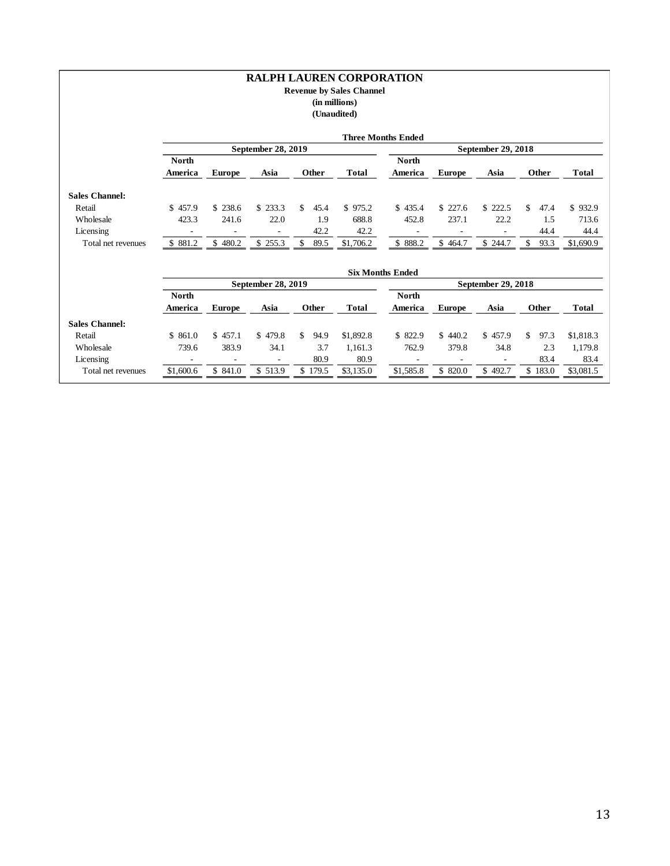#### **RALPH LAUREN CORPORATION Revenue by Sales Channel (in millions) (Unaudited)**

|                                 |                                       |                                     |                                     |                     |                   | <b>Three Months Ended</b>             |                                         |                                     |                          |                   |
|---------------------------------|---------------------------------------|-------------------------------------|-------------------------------------|---------------------|-------------------|---------------------------------------|-----------------------------------------|-------------------------------------|--------------------------|-------------------|
|                                 | September 28, 2019                    |                                     |                                     |                     |                   |                                       |                                         |                                     |                          |                   |
|                                 | <b>North</b>                          |                                     |                                     |                     |                   | <b>North</b>                          |                                         |                                     |                          |                   |
|                                 | America                               | <b>Europe</b>                       | Asia                                | Other               | <b>Total</b>      | America                               | <b>Europe</b>                           | Asia                                | Other                    | <b>Total</b>      |
| <b>Sales Channel:</b>           |                                       |                                     |                                     |                     |                   |                                       |                                         |                                     |                          |                   |
| Retail                          | \$457.9                               | \$238.6                             | \$233.3                             | \$<br>45.4          | \$975.2           | \$435.4                               | \$227.6                                 | \$222.5                             | \$<br>47.4               | \$932.9           |
| Wholesale                       | 423.3                                 | 241.6                               | 22.0                                | 1.9                 | 688.8             | 452.8                                 | 237.1                                   | 22.2                                | 1.5                      | 713.6             |
| Licensing                       | $\overline{\phantom{a}}$              | $\overline{\phantom{a}}$            | $\Box$                              | 42.2                | 42.2              | $\overline{\phantom{a}}$              | $\overline{\phantom{a}}$                | $\overline{\phantom{a}}$            | 44.4                     | 44.4              |
| Total net revenues              | \$881.2                               | \$480.2                             | \$255.3                             | $\mathbb S$<br>89.5 | \$1,706.2         | \$888.2                               | \$464.7                                 | \$244.7                             | $\mathbb{S}$<br>93.3     | \$1,690.9         |
|                                 |                                       |                                     |                                     |                     |                   |                                       |                                         |                                     |                          |                   |
|                                 |                                       |                                     |                                     |                     |                   | <b>Six Months Ended</b>               |                                         |                                     |                          |                   |
|                                 |                                       |                                     | September 28, 2019                  |                     |                   |                                       |                                         | September 29, 2018                  |                          |                   |
|                                 | North                                 |                                     |                                     |                     |                   | <b>North</b>                          |                                         |                                     |                          |                   |
|                                 | America                               | <b>Europe</b>                       | Asia                                | Other               | <b>Total</b>      | America                               | <b>Europe</b>                           | Asia                                | Other                    | <b>Total</b>      |
| <b>Sales Channel:</b>           |                                       |                                     |                                     |                     |                   |                                       |                                         |                                     |                          |                   |
| Retail                          | \$861.0                               | \$457.1                             | \$479.8                             | \$<br>94.9          | \$1,892.8         | \$822.9                               | \$440.2                                 | \$457.9                             | \$<br>97.3               | \$1,818.3         |
| Wholesale                       | 739.6                                 | 383.9                               | 34.1                                | 3.7                 | 1,161.3           | 762.9                                 | 379.8                                   | 34.8                                | 2.3                      | 1,179.8           |
| Licensing<br>Total net revenues | $\overline{\phantom{a}}$<br>\$1,600.6 | $\overline{\phantom{a}}$<br>\$841.0 | $\overline{\phantom{a}}$<br>\$513.9 | 80.9<br>\$179.5     | 80.9<br>\$3,135.0 | $\overline{\phantom{a}}$<br>\$1,585.8 | $\qquad \qquad \blacksquare$<br>\$820.0 | $\overline{\phantom{a}}$<br>\$492.7 | 83.4<br>$\bar{\$}$ 183.0 | 83.4<br>\$3,081.5 |
|                                 |                                       |                                     |                                     |                     |                   |                                       |                                         |                                     |                          |                   |
|                                 |                                       |                                     |                                     |                     |                   |                                       |                                         |                                     |                          |                   |
|                                 |                                       |                                     |                                     |                     |                   |                                       |                                         |                                     |                          |                   |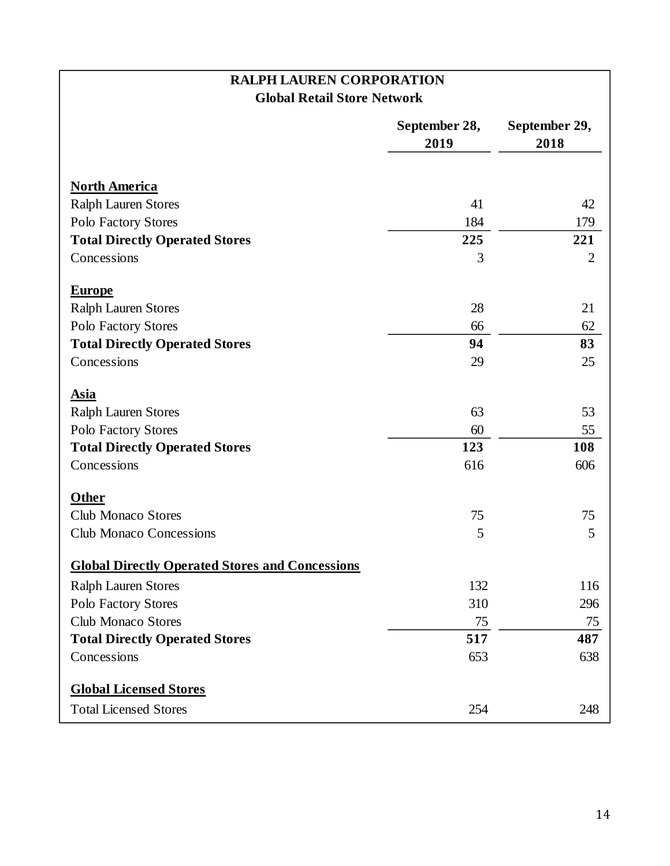# **RALPH LAUREN CORPORATION Global Retail Store Network**

|                                                        | September 28,<br>2019 | September 29,<br>2018 |  |  |
|--------------------------------------------------------|-----------------------|-----------------------|--|--|
| <b>North America</b>                                   |                       |                       |  |  |
| <b>Ralph Lauren Stores</b>                             | 41                    | 42                    |  |  |
| Polo Factory Stores                                    | 184                   | 179                   |  |  |
| <b>Total Directly Operated Stores</b>                  | 225                   | 221                   |  |  |
| Concessions                                            | 3                     | $\overline{2}$        |  |  |
| <b>Europe</b>                                          |                       |                       |  |  |
| <b>Ralph Lauren Stores</b>                             | 28                    | 21                    |  |  |
| Polo Factory Stores                                    | 66                    | 62                    |  |  |
| <b>Total Directly Operated Stores</b>                  | 94                    | 83                    |  |  |
| Concessions                                            | 29                    | 25                    |  |  |
| <b>Asia</b>                                            |                       |                       |  |  |
| <b>Ralph Lauren Stores</b>                             | 63                    | 53                    |  |  |
| Polo Factory Stores                                    | 60                    | 55                    |  |  |
| <b>Total Directly Operated Stores</b>                  | 123                   | 108                   |  |  |
| Concessions                                            | 616                   | 606                   |  |  |
| Other                                                  |                       |                       |  |  |
| <b>Club Monaco Stores</b>                              | 75                    | 75                    |  |  |
| <b>Club Monaco Concessions</b>                         | 5                     | 5                     |  |  |
| <b>Global Directly Operated Stores and Concessions</b> |                       |                       |  |  |
| <b>Ralph Lauren Stores</b>                             | 132                   | 116                   |  |  |
| Polo Factory Stores                                    | 310                   | 296                   |  |  |
| <b>Club Monaco Stores</b>                              | 75                    | 75                    |  |  |
| <b>Total Directly Operated Stores</b>                  | 517                   | 487                   |  |  |
| Concessions                                            | 653                   | 638                   |  |  |
| <b>Global Licensed Stores</b>                          |                       |                       |  |  |
| <b>Total Licensed Stores</b>                           | 254                   | 248                   |  |  |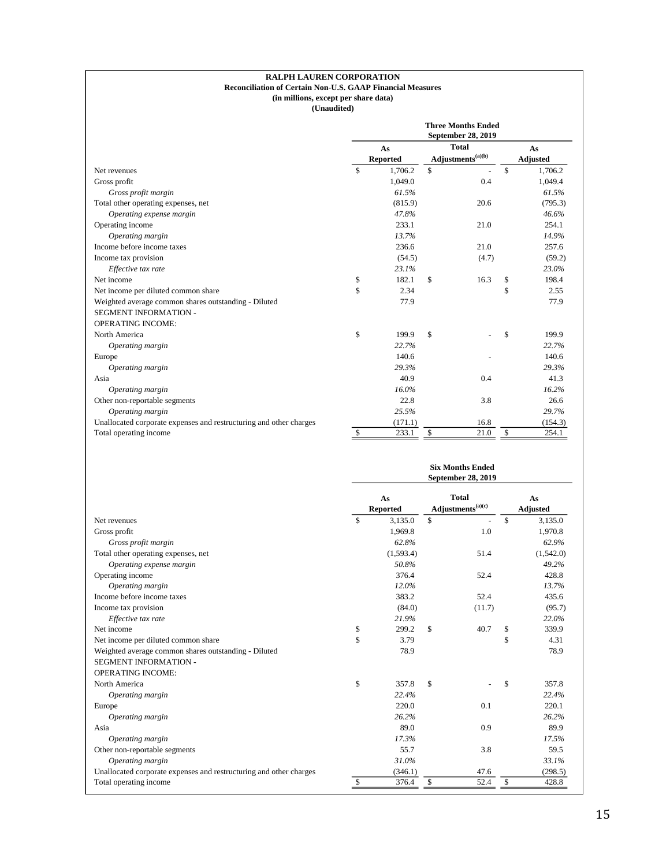#### **RALPH LAUREN CORPORATION Reconciliation of Certain Non-U.S. GAAP Financial Measures**

# **(in millions, except per share data)**

|                                                                    | <b>Three Months Ended</b><br>September 28, 2019 |         |                                               |       |    |                       |  |
|--------------------------------------------------------------------|-------------------------------------------------|---------|-----------------------------------------------|-------|----|-----------------------|--|
|                                                                    | As<br><b>Reported</b>                           |         | <b>Total</b><br>Adjustments <sup>(a)(b)</sup> |       |    | As<br><b>Adjusted</b> |  |
| Net revenues                                                       | \$                                              | 1,706.2 | \$                                            |       | \$ | 1,706.2               |  |
| Gross profit                                                       |                                                 | 1,049.0 |                                               | 0.4   |    | 1,049.4               |  |
| Gross profit margin                                                |                                                 | 61.5%   |                                               |       |    | 61.5%                 |  |
| Total other operating expenses, net                                |                                                 | (815.9) |                                               | 20.6  |    | (795.3)               |  |
| Operating expense margin                                           |                                                 | 47.8%   |                                               |       |    | 46.6%                 |  |
| Operating income                                                   |                                                 | 233.1   |                                               | 21.0  |    | 254.1                 |  |
| Operating margin                                                   |                                                 | 13.7%   |                                               |       |    | 14.9%                 |  |
| Income before income taxes                                         |                                                 | 236.6   |                                               | 21.0  |    | 257.6                 |  |
| Income tax provision                                               |                                                 | (54.5)  |                                               | (4.7) |    | (59.2)                |  |
| Effective tax rate                                                 |                                                 | 23.1%   |                                               |       |    | 23.0%                 |  |
| Net income                                                         | \$                                              | 182.1   | \$                                            | 16.3  | \$ | 198.4                 |  |
| Net income per diluted common share                                | \$                                              | 2.34    |                                               |       | \$ | 2.55                  |  |
| Weighted average common shares outstanding - Diluted               |                                                 | 77.9    |                                               |       |    | 77.9                  |  |
| SEGMENT INFORMATION -                                              |                                                 |         |                                               |       |    |                       |  |
| <b>OPERATING INCOME:</b>                                           |                                                 |         |                                               |       |    |                       |  |
| North America                                                      | \$                                              | 199.9   | \$                                            |       | \$ | 199.9                 |  |
| Operating margin                                                   |                                                 | 22.7%   |                                               |       |    | 22.7%                 |  |
| Europe                                                             |                                                 | 140.6   |                                               |       |    | 140.6                 |  |
| Operating margin                                                   |                                                 | 29.3%   |                                               |       |    | 29.3%                 |  |
| Asia                                                               |                                                 | 40.9    |                                               | 0.4   |    | 41.3                  |  |
| Operating margin                                                   |                                                 | 16.0%   |                                               |       |    | 16.2%                 |  |
| Other non-reportable segments                                      |                                                 | 22.8    |                                               | 3.8   |    | 26.6                  |  |
| Operating margin                                                   |                                                 | 25.5%   |                                               |       |    | 29.7%                 |  |
| Unallocated corporate expenses and restructuring and other charges |                                                 | (171.1) |                                               | 16.8  |    | (154.3)               |  |
| Total operating income                                             | S                                               | 233.1   | \$                                            | 21.0  | \$ | 254.1                 |  |
|                                                                    |                                                 |         |                                               |       |    |                       |  |

|                                                                    | <b>Six Months Ended</b><br>September 28, 2019 |                       |    |                                            |                       |           |  |  |
|--------------------------------------------------------------------|-----------------------------------------------|-----------------------|----|--------------------------------------------|-----------------------|-----------|--|--|
|                                                                    |                                               | As<br><b>Reported</b> |    | <b>Total</b><br>$\bf Adjustments^{(a)(c)}$ | As<br><b>Adjusted</b> |           |  |  |
| Net revenues                                                       | \$                                            | 3,135.0               | \$ |                                            | \$                    | 3,135.0   |  |  |
| Gross profit                                                       |                                               | 1.969.8               |    | 1.0                                        |                       | 1,970.8   |  |  |
| Gross profit margin                                                |                                               | 62.8%                 |    |                                            |                       | 62.9%     |  |  |
| Total other operating expenses, net                                |                                               | (1,593.4)             |    | 51.4                                       |                       | (1,542.0) |  |  |
| Operating expense margin                                           |                                               | 50.8%                 |    |                                            |                       | 49.2%     |  |  |
| Operating income                                                   |                                               | 376.4                 |    | 52.4                                       |                       | 428.8     |  |  |
| Operating margin                                                   |                                               | 12.0%                 |    |                                            |                       | 13.7%     |  |  |
| Income before income taxes                                         |                                               | 383.2                 |    | 52.4                                       |                       | 435.6     |  |  |
| Income tax provision                                               |                                               | (84.0)                |    | (11.7)                                     |                       | (95.7)    |  |  |
| Effective tax rate                                                 |                                               | 21.9%                 |    |                                            |                       | 22.0%     |  |  |
| Net income                                                         | \$                                            | 299.2                 | \$ | 40.7                                       | \$                    | 339.9     |  |  |
| Net income per diluted common share                                | \$                                            | 3.79                  |    |                                            | \$                    | 4.31      |  |  |
| Weighted average common shares outstanding - Diluted               |                                               | 78.9                  |    |                                            |                       | 78.9      |  |  |
| SEGMENT INFORMATION -                                              |                                               |                       |    |                                            |                       |           |  |  |
| <b>OPERATING INCOME:</b>                                           |                                               |                       |    |                                            |                       |           |  |  |
| North America                                                      | \$                                            | 357.8                 | \$ |                                            | \$                    | 357.8     |  |  |
| Operating margin                                                   |                                               | 22.4%                 |    |                                            |                       | 22.4%     |  |  |
| Europe                                                             |                                               | 220.0                 |    | 0.1                                        |                       | 220.1     |  |  |
| Operating margin                                                   |                                               | 26.2%                 |    |                                            |                       | 26.2%     |  |  |
| Asia                                                               |                                               | 89.0                  |    | 0.9                                        |                       | 89.9      |  |  |
| Operating margin                                                   |                                               | 17.3%                 |    |                                            |                       | 17.5%     |  |  |
| Other non-reportable segments                                      |                                               | 55.7                  |    | 3.8                                        |                       | 59.5      |  |  |
| Operating margin                                                   |                                               | 31.0%                 |    |                                            |                       | 33.1%     |  |  |
| Unallocated corporate expenses and restructuring and other charges |                                               | (346.1)               |    | 47.6                                       |                       | (298.5)   |  |  |
| Total operating income                                             | $\mathbb{S}$                                  | 376.4                 | \$ | 52.4                                       | \$                    | 428.8     |  |  |
|                                                                    |                                               |                       |    |                                            |                       |           |  |  |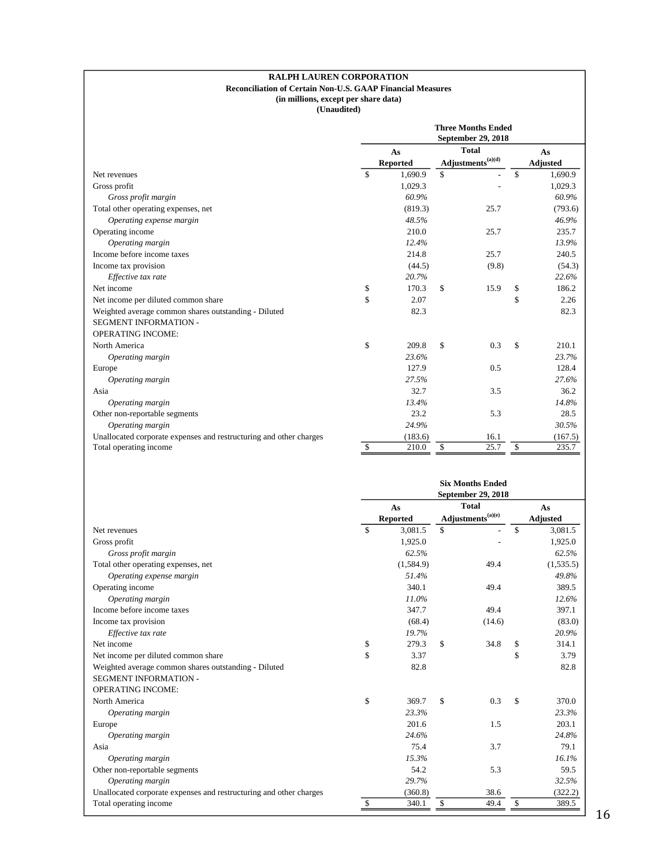#### **RALPH LAUREN CORPORATION Reconciliation of Certain Non-U.S. GAAP Financial Measures (in millions, except per share data)**

|                                                                    | <b>Three Months Ended</b><br>September 29, 2018 |                       |    |                                                                                                          |    |                       |  |
|--------------------------------------------------------------------|-------------------------------------------------|-----------------------|----|----------------------------------------------------------------------------------------------------------|----|-----------------------|--|
|                                                                    |                                                 | As<br><b>Reported</b> |    | <b>Total</b><br>$\mathbf{Adjustments}^{(\mathrm{a})(\mathrm{d})}$                                        |    | As<br><b>Adjusted</b> |  |
| Net revenues                                                       | \$                                              | 1,690.9               | \$ |                                                                                                          | \$ | 1,690.9               |  |
| Gross profit                                                       |                                                 | 1,029.3               |    |                                                                                                          |    | 1,029.3               |  |
| Gross profit margin                                                |                                                 | 60.9%                 |    |                                                                                                          |    | 60.9%                 |  |
| Total other operating expenses, net                                |                                                 | (819.3)               |    | 25.7                                                                                                     |    | (793.6)               |  |
| Operating expense margin                                           |                                                 | 48.5%                 |    |                                                                                                          |    | 46.9%                 |  |
| Operating income                                                   |                                                 | 210.0                 |    | 25.7                                                                                                     |    | 235.7                 |  |
| Operating margin                                                   |                                                 | 12.4%                 |    |                                                                                                          |    | 13.9%                 |  |
| Income before income taxes                                         |                                                 | 214.8                 |    | 25.7                                                                                                     |    | 240.5                 |  |
| Income tax provision                                               |                                                 | (44.5)                |    | (9.8)                                                                                                    |    | (54.3)                |  |
| Effective tax rate                                                 |                                                 | 20.7%                 |    |                                                                                                          |    | 22.6%                 |  |
| Net income                                                         | \$                                              | 170.3                 | \$ | 15.9                                                                                                     | \$ | 186.2                 |  |
| Net income per diluted common share                                | \$                                              | 2.07                  |    |                                                                                                          | \$ | 2.26                  |  |
| Weighted average common shares outstanding - Diluted               |                                                 | 82.3                  |    |                                                                                                          |    | 82.3                  |  |
| <b>SEGMENT INFORMATION -</b>                                       |                                                 |                       |    |                                                                                                          |    |                       |  |
| <b>OPERATING INCOME:</b>                                           |                                                 |                       |    |                                                                                                          |    |                       |  |
| North America                                                      | \$                                              | 209.8                 | \$ | 0.3                                                                                                      | \$ | 210.1                 |  |
| Operating margin                                                   |                                                 | 23.6%                 |    |                                                                                                          |    | 23.7%                 |  |
| Europe                                                             |                                                 | 127.9                 |    | 0.5                                                                                                      |    | 128.4                 |  |
| Operating margin                                                   |                                                 | 27.5%                 |    |                                                                                                          |    | 27.6%                 |  |
| Asia                                                               |                                                 | 32.7                  |    | 3.5                                                                                                      |    | 36.2                  |  |
| Operating margin                                                   |                                                 | 13.4%                 |    |                                                                                                          |    | 14.8%                 |  |
| Other non-reportable segments                                      |                                                 | 23.2                  |    | 5.3                                                                                                      |    | 28.5                  |  |
| Operating margin                                                   |                                                 | 24.9%                 |    |                                                                                                          |    | 30.5%                 |  |
| Unallocated corporate expenses and restructuring and other charges |                                                 | (183.6)               |    | 16.1                                                                                                     |    | (167.5)               |  |
| Total operating income                                             | \$                                              | 210.0                 | \$ | 25.7                                                                                                     | \$ | 235.7                 |  |
|                                                                    |                                                 |                       |    | <b>Six Months Ended</b><br>$C_{1}$ , $A_{2}$ , $A_{3}$ , $A_{4}$ , $A_{5}$ , $A_{6}$ , $A_{7}$ , $A_{8}$ |    |                       |  |

|                                                                    | September 29, 2018 |           |                                           |              |                 |           |  |
|--------------------------------------------------------------------|--------------------|-----------|-------------------------------------------|--------------|-----------------|-----------|--|
|                                                                    |                    | As        |                                           | <b>Total</b> |                 | As        |  |
|                                                                    | <b>Reported</b>    |           | $\mathbf{Adj}$ ustments <sup>(a)(e)</sup> |              | <b>Adjusted</b> |           |  |
| Net revenues                                                       | \$                 | 3,081.5   | \$                                        |              | \$              | 3,081.5   |  |
| Gross profit                                                       |                    | 1,925.0   |                                           |              |                 | 1,925.0   |  |
| Gross profit margin                                                |                    | 62.5%     |                                           |              |                 | 62.5%     |  |
| Total other operating expenses, net                                |                    | (1,584.9) |                                           | 49.4         |                 | (1,535.5) |  |
| Operating expense margin                                           |                    | 51.4%     |                                           |              |                 | 49.8%     |  |
| Operating income                                                   |                    | 340.1     |                                           | 49.4         |                 | 389.5     |  |
| Operating margin                                                   |                    | 11.0%     |                                           |              |                 | 12.6%     |  |
| Income before income taxes                                         |                    | 347.7     |                                           | 49.4         |                 | 397.1     |  |
| Income tax provision                                               |                    | (68.4)    |                                           | (14.6)       |                 | (83.0)    |  |
| Effective tax rate                                                 |                    | 19.7%     |                                           |              |                 | 20.9%     |  |
| Net income                                                         | \$                 | 279.3     | \$                                        | 34.8         | \$              | 314.1     |  |
| Net income per diluted common share                                | \$                 | 3.37      |                                           |              | \$              | 3.79      |  |
| Weighted average common shares outstanding - Diluted               |                    | 82.8      |                                           |              |                 | 82.8      |  |
| <b>SEGMENT INFORMATION -</b>                                       |                    |           |                                           |              |                 |           |  |
| <b>OPERATING INCOME:</b>                                           |                    |           |                                           |              |                 |           |  |
| North America                                                      | \$                 | 369.7     | \$                                        | 0.3          | \$              | 370.0     |  |
| Operating margin                                                   |                    | 23.3%     |                                           |              |                 | 23.3%     |  |
| Europe                                                             |                    | 201.6     |                                           | 1.5          |                 | 203.1     |  |
| Operating margin                                                   |                    | 24.6%     |                                           |              |                 | 24.8%     |  |
| Asia                                                               |                    | 75.4      |                                           | 3.7          |                 | 79.1      |  |
| Operating margin                                                   |                    | 15.3%     |                                           |              |                 | 16.1%     |  |
| Other non-reportable segments                                      |                    | 54.2      |                                           | 5.3          |                 | 59.5      |  |
| Operating margin                                                   |                    | 29.7%     |                                           |              |                 | 32.5%     |  |
| Unallocated corporate expenses and restructuring and other charges |                    | (360.8)   |                                           | 38.6         |                 | (322.2)   |  |
| Total operating income                                             | $\mathbb{S}$       | 340.1     | \$                                        | 49.4         | \$              | 389.5     |  |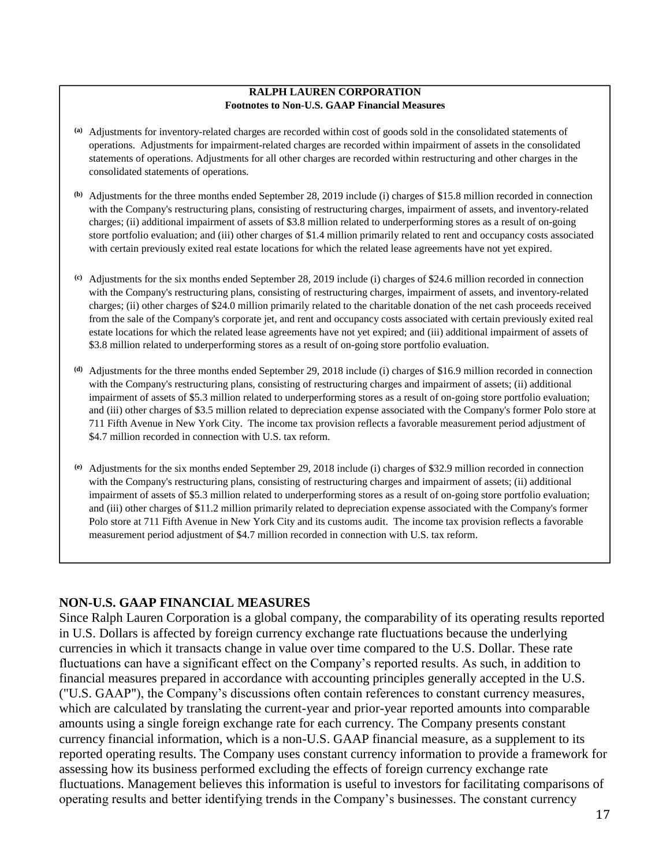### **RALPH LAUREN CORPORATION Footnotes to Non-U.S. GAAP Financial Measures**

- **(a)** Adjustments for inventory-related charges are recorded within cost of goods sold in the consolidated statements of operations. Adjustments for impairment-related charges are recorded within impairment of assets in the consolidated statements of operations. Adjustments for all other charges are recorded within restructuring and other charges in the consolidated statements of operations.
- **(b)** Adjustments for the three months ended September 28, 2019 include (i) charges of \$15.8 million recorded in connection with the Company's restructuring plans, consisting of restructuring charges, impairment of assets, and inventory-related charges; (ii) additional impairment of assets of \$3.8 million related to underperforming stores as a result of on-going store portfolio evaluation; and (iii) other charges of \$1.4 million primarily related to rent and occupancy costs associated with certain previously exited real estate locations for which the related lease agreements have not yet expired.
- **(c)** Adjustments for the six months ended September 28, 2019 include (i) charges of \$24.6 million recorded in connection with the Company's restructuring plans, consisting of restructuring charges, impairment of assets, and inventory-related charges; (ii) other charges of \$24.0 million primarily related to the charitable donation of the net cash proceeds received from the sale of the Company's corporate jet, and rent and occupancy costs associated with certain previously exited real estate locations for which the related lease agreements have not yet expired; and (iii) additional impairment of assets of \$3.8 million related to underperforming stores as a result of on-going store portfolio evaluation.
- **(d)** Adjustments for the three months ended September 29, 2018 include (i) charges of \$16.9 million recorded in connection with the Company's restructuring plans, consisting of restructuring charges and impairment of assets; (ii) additional impairment of assets of \$5.3 million related to underperforming stores as a result of on-going store portfolio evaluation; and (iii) other charges of \$3.5 million related to depreciation expense associated with the Company's former Polo store at 711 Fifth Avenue in New York City. The income tax provision reflects a favorable measurement period adjustment of \$4.7 million recorded in connection with U.S. tax reform.
- **(e)** Adjustments for the six months ended September 29, 2018 include (i) charges of \$32.9 million recorded in connection with the Company's restructuring plans, consisting of restructuring charges and impairment of assets; (ii) additional impairment of assets of \$5.3 million related to underperforming stores as a result of on-going store portfolio evaluation; and (iii) other charges of \$11.2 million primarily related to depreciation expense associated with the Company's former Polo store at 711 Fifth Avenue in New York City and its customs audit. The income tax provision reflects a favorable measurement period adjustment of \$4.7 million recorded in connection with U.S. tax reform.

# **NON-U.S. GAAP FINANCIAL MEASURES**

Since Ralph Lauren Corporation is a global company, the comparability of its operating results reported in U.S. Dollars is affected by foreign currency exchange rate fluctuations because the underlying currencies in which it transacts change in value over time compared to the U.S. Dollar. These rate fluctuations can have a significant effect on the Company's reported results. As such, in addition to financial measures prepared in accordance with accounting principles generally accepted in the U.S. ("U.S. GAAP"), the Company's discussions often contain references to constant currency measures, which are calculated by translating the current-year and prior-year reported amounts into comparable amounts using a single foreign exchange rate for each currency. The Company presents constant currency financial information, which is a non-U.S. GAAP financial measure, as a supplement to its reported operating results. The Company uses constant currency information to provide a framework for assessing how its business performed excluding the effects of foreign currency exchange rate fluctuations. Management believes this information is useful to investors for facilitating comparisons of operating results and better identifying trends in the Company's businesses. The constant currency